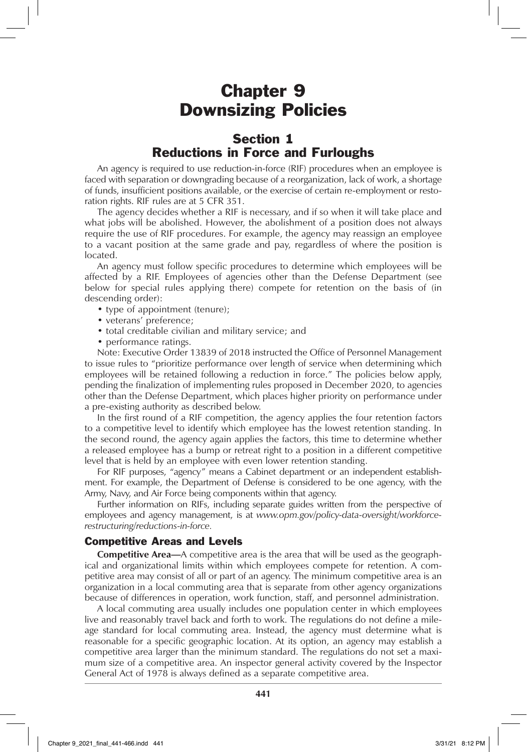# Chapter 9 Downsizing Policies

# Section 1 Reductions in Force and Furloughs

An agency is required to use reduction-in-force (RIF) procedures when an employee is faced with separation or downgrading because of a reorganization, lack of work, a shortage of funds, insufficient positions available, or the exercise of certain re-employment or restoration rights. RIF rules are at 5 CFR 351.

The agency decides whether a RIF is necessary, and if so when it will take place and what jobs will be abolished. However, the abolishment of a position does not always require the use of RIF procedures. For example, the agency may reassign an employee to a vacant position at the same grade and pay, regardless of where the position is located.

An agency must follow specific procedures to determine which employees will be affected by a RIF. Employees of agencies other than the Defense Department (see below for special rules applying there) compete for retention on the basis of (in descending order):

- type of appointment (tenure);
- veterans' preference;
- total creditable civilian and military service; and
- performance ratings.

Note: Executive Order 13839 of 2018 instructed the Office of Personnel Management to issue rules to "prioritize performance over length of service when determining which employees will be retained following a reduction in force." The policies below apply, pending the finalization of implementing rules proposed in December 2020, to agencies other than the Defense Department, which places higher priority on performance under a pre-existing authority as described below.

In the first round of a RIF competition, the agency applies the four retention factors to a competitive level to identify which employee has the lowest retention standing. In the second round, the agency again applies the factors, this time to determine whether a released employee has a bump or retreat right to a position in a different competitive level that is held by an employee with even lower retention standing.

For RIF purposes, "agency" means a Cabinet department or an independent establishment. For example, the Department of Defense is considered to be one agency, with the Army, Navy, and Air Force being components within that agency.

Further information on RIFs, including separate guides written from the perspective of employees and agency management, is at *www.opm.gov/policy-data-oversight/workforcerestructuring/reductions-in-force.*

# Competitive Areas and Levels

**Competitive Area—**A competitive area is the area that will be used as the geographical and organizational limits within which employees compete for retention. A competitive area may consist of all or part of an agency. The minimum competitive area is an organization in a local commuting area that is separate from other agency organizations because of differences in operation, work function, staff, and personnel administration.

A local commuting area usually includes one population center in which employees live and reasonably travel back and forth to work. The regulations do not define a mileage standard for local commuting area. Instead, the agency must determine what is reasonable for a specific geographic location. At its option, an agency may establish a competitive area larger than the minimum standard. The regulations do not set a maximum size of a competitive area. An inspector general activity covered by the Inspector General Act of 1978 is always defined as a separate competitive area.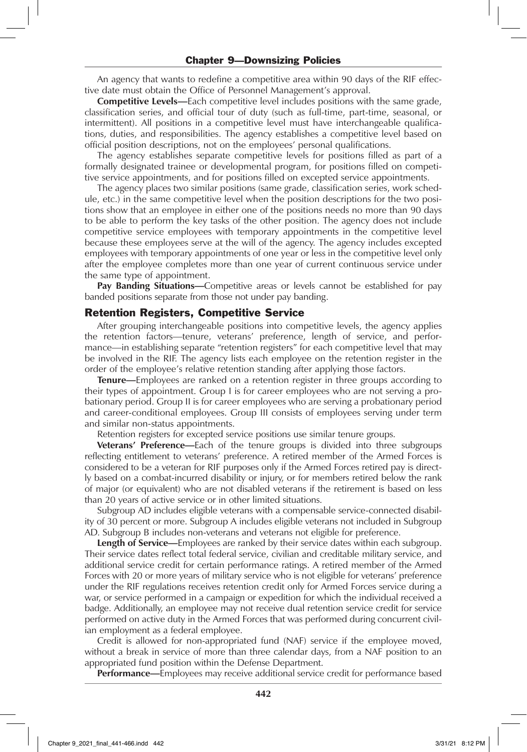An agency that wants to redefine a competitive area within 90 days of the RIF effective date must obtain the Office of Personnel Management's approval.

**Competitive Levels—**Each competitive level includes positions with the same grade, classification series, and official tour of duty (such as full-time, part-time, seasonal, or intermittent). All positions in a competitive level must have interchangeable qualifications, duties, and responsibilities. The agency establishes a competitive level based on official position descriptions, not on the employees' personal qualifications.

The agency establishes separate competitive levels for positions filled as part of a formally designated trainee or developmental program, for positions filled on competitive service appointments, and for positions filled on excepted service appointments.

The agency places two similar positions (same grade, classification series, work schedule, etc.) in the same competitive level when the position descriptions for the two positions show that an employee in either one of the positions needs no more than 90 days to be able to perform the key tasks of the other position. The agency does not include competitive service employees with temporary appointments in the competitive level because these employees serve at the will of the agency. The agency includes excepted employees with temporary appointments of one year or less in the competitive level only after the employee completes more than one year of current continuous service under the same type of appointment.

**Pay Banding Situations—**Competitive areas or levels cannot be established for pay banded positions separate from those not under pay banding.

# Retention Registers, Competitive Service

After grouping interchangeable positions into competitive levels, the agency applies the retention factors—tenure, veterans' preference, length of service, and performance—in establishing separate "retention registers" for each competitive level that may be involved in the RIF. The agency lists each employee on the retention register in the order of the employee's relative retention standing after applying those factors.

**Tenure—**Employees are ranked on a retention register in three groups according to their types of appointment. Group I is for career employees who are not serving a probationary period. Group II is for career employees who are serving a probationary period and career-conditional employees. Group III consists of employees serving under term and similar non-status appointments.

Retention registers for excepted service positions use similar tenure groups.

**Veterans' Preference—**Each of the tenure groups is divided into three subgroups reflecting entitlement to veterans' preference. A retired member of the Armed Forces is considered to be a veteran for RIF purposes only if the Armed Forces retired pay is directly based on a combat-incurred disability or injury, or for members retired below the rank of major (or equivalent) who are not disabled veterans if the retirement is based on less than 20 years of active service or in other limited situations.

Subgroup AD includes eligible veterans with a compensable service-connected disability of 30 percent or more. Subgroup A includes eligible veterans not included in Subgroup AD. Subgroup B includes non-veterans and veterans not eligible for preference.

**Length of Service—**Employees are ranked by their service dates within each subgroup. Their service dates reflect total federal service, civilian and creditable military service, and additional service credit for certain performance ratings. A retired member of the Armed Forces with 20 or more years of military service who is not eligible for veterans' preference under the RIF regulations receives retention credit only for Armed Forces service during a war, or service performed in a campaign or expedition for which the individual received a badge. Additionally, an employee may not receive dual retention service credit for service performed on active duty in the Armed Forces that was performed during concurrent civilian employment as a federal employee.

Credit is allowed for non-appropriated fund (NAF) service if the employee moved, without a break in service of more than three calendar days, from a NAF position to an appropriated fund position within the Defense Department.

**Performance—**Employees may receive additional service credit for performance based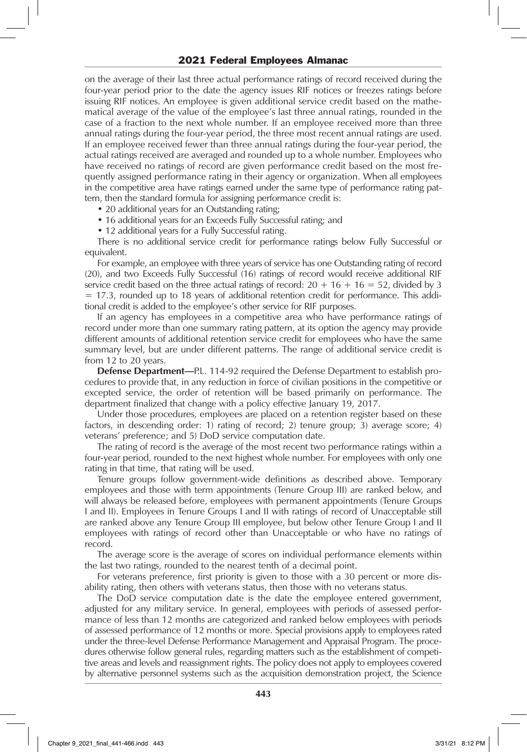on the average of their last three actual performance ratings of record received during the four-year period prior to the date the agency issues RIF notices or freezes ratings before issuing RIF notices. An employee is given additional service credit based on the mathematical average of the value of the employee's last three annual ratings, rounded in the case of a fraction to the next whole number. If an employee received more than three annual ratings during the four-year period, the three most recent annual ratings are used. If an employee received fewer than three annual ratings during the four-year period, the actual ratings received are averaged and rounded up to a whole number. Employees who have received no ratings of record are given performance credit based on the most frequently assigned performance rating in their agency or organization. When all employees in the competitive area have ratings earned under the same type of performance rating pattern, then the standard formula for assigning performance credit is:

• 20 additional years for an Outstanding rating;

• 16 additional years for an Exceeds Fully Successful rating; and

• 12 additional years for a Fully Successful rating.

There is no additional service credit for performance ratings below Fully Successful or equivalent.

For example, an employee with three years of service has one Outstanding rating of record (20), and two Exceeds Fully Successful (16) ratings of record would receive additional RIF service credit based on the three actual ratings of record:  $20 + 16 + 16 = 52$ , divided by 3 = 17.3, rounded up to 18 years of additional retention credit for performance. This additional credit is added to the employee's other service for RIF purposes.

If an agency has employees in a competitive area who have performance ratings of record under more than one summary rating pattern, at its option the agency may provide different amounts of additional retention service credit for employees who have the same summary level, but are under different patterns. The range of additional service credit is from 12 to 20 years.

**Defense Department—**P.L. 114-92 required the Defense Department to establish procedures to provide that, in any reduction in force of civilian positions in the competitive or excepted service, the order of retention will be based primarily on performance. The department finalized that change with a policy effective January 19, 2017.

Under those procedures, employees are placed on a retention register based on these factors, in descending order: 1) rating of record; 2) tenure group; 3) average score; 4) veterans' preference; and 5) DoD service computation date.

The rating of record is the average of the most recent two performance ratings within a four-year period, rounded to the next highest whole number. For employees with only one rating in that time, that rating will be used.

Tenure groups follow government-wide definitions as described above. Temporary employees and those with term appointments (Tenure Group III) are ranked below, and will always be released before, employees with permanent appointments (Tenure Groups I and II). Employees in Tenure Groups I and II with ratings of record of Unacceptable still are ranked above any Tenure Group III employee, but below other Tenure Group I and II employees with ratings of record other than Unacceptable or who have no ratings of record.

The average score is the average of scores on individual performance elements within the last two ratings, rounded to the nearest tenth of a decimal point.

For veterans preference, first priority is given to those with a 30 percent or more disability rating, then others with veterans status, then those with no veterans status.

The DoD service computation date is the date the employee entered government, adjusted for any military service. In general, employees with periods of assessed performance of less than 12 months are categorized and ranked below employees with periods of assessed performance of 12 months or more. Special provisions apply to employees rated under the three-level Defense Performance Management and Appraisal Program. The procedures otherwise follow general rules, regarding matters such as the establishment of competitive areas and levels and reassignment rights. The policy does not apply to employees covered by alternative personnel systems such as the acquisition demonstration project, the Science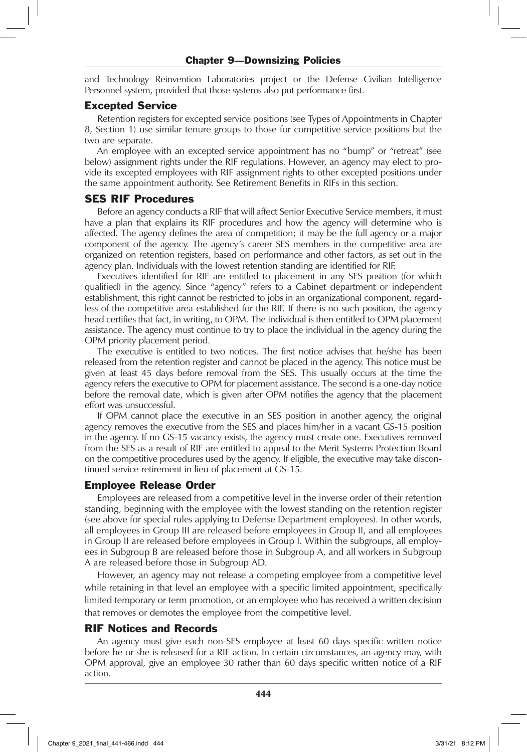and Technology Reinvention Laboratories project or the Defense Civilian Intelligence Personnel system, provided that those systems also put performance first.

#### Excepted Service

Retention registers for excepted service positions (see Types of Appointments in Chapter 8, Section 1) use similar tenure groups to those for competitive service positions but the two are separate.

An employee with an excepted service appointment has no "bump" or "retreat" (see below) assignment rights under the RIF regulations. However, an agency may elect to provide its excepted employees with RIF assignment rights to other excepted positions under the same appointment authority. See Retirement Benefits in RIFs in this section.

### SES RIF Procedures

Before an agency conducts a RIF that will affect Senior Executive Service members, it must have a plan that explains its RIF procedures and how the agency will determine who is affected. The agency defines the area of competition; it may be the full agency or a major component of the agency. The agency's career SES members in the competitive area are organized on retention registers, based on performance and other factors, as set out in the agency plan. Individuals with the lowest retention standing are identified for RIF.

Executives identified for RIF are entitled to placement in any SES position (for which qualified) in the agency. Since "agency" refers to a Cabinet department or independent establishment, this right cannot be restricted to jobs in an organizational component, regardless of the competitive area established for the RIF. If there is no such position, the agency head certifies that fact, in writing, to OPM. The individual is then entitled to OPM placement assistance. The agency must continue to try to place the individual in the agency during the OPM priority placement period.

The executive is entitled to two notices. The first notice advises that he/she has been released from the retention register and cannot be placed in the agency. This notice must be given at least 45 days before removal from the SES. This usually occurs at the time the agency refers the executive to OPM for placement assistance. The second is a one-day notice before the removal date, which is given after OPM notifies the agency that the placement effort was unsuccessful.

If OPM cannot place the executive in an SES position in another agency, the original agency removes the executive from the SES and places him/her in a vacant GS-15 position in the agency. If no GS-15 vacancy exists, the agency must create one. Executives removed from the SES as a result of RIF are entitled to appeal to the Merit Systems Protection Board on the competitive procedures used by the agency. If eligible, the executive may take discontinued service retirement in lieu of placement at GS-15.

### Employee Release Order

Employees are released from a competitive level in the inverse order of their retention standing, beginning with the employee with the lowest standing on the retention register (see above for special rules applying to Defense Department employees). In other words, all employees in Group III are released before employees in Group II, and all employees in Group II are released before employees in Group I. Within the subgroups, all employees in Subgroup B are released before those in Subgroup A, and all workers in Subgroup A are released before those in Subgroup AD.

However, an agency may not release a competing employee from a competitive level while retaining in that level an employee with a specific limited appointment, specifically limited temporary or term promotion, or an employee who has received a written decision that removes or demotes the employee from the competitive level.

### RIF Notices and Records

An agency must give each non-SES employee at least 60 days specific written notice before he or she is released for a RIF action. In certain circumstances, an agency may, with OPM approval, give an employee 30 rather than 60 days specific written notice of a RIF action.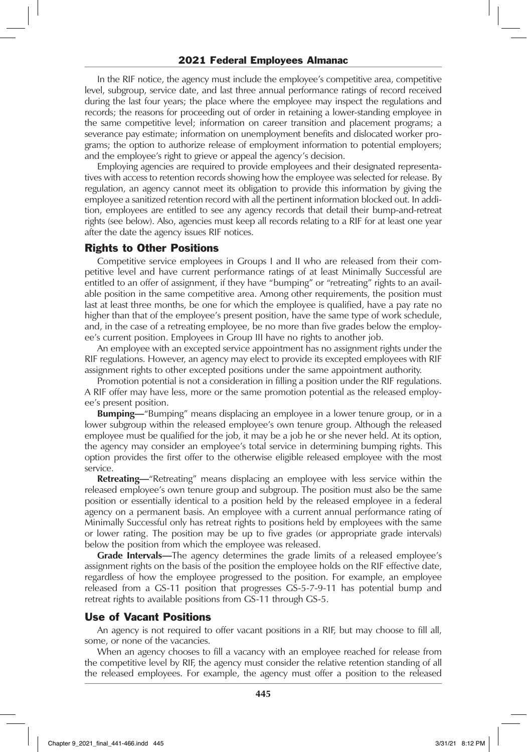In the RIF notice, the agency must include the employee's competitive area, competitive level, subgroup, service date, and last three annual performance ratings of record received during the last four years; the place where the employee may inspect the regulations and records; the reasons for proceeding out of order in retaining a lower-standing employee in the same competitive level; information on career transition and placement programs; a severance pay estimate; information on unemployment benefits and dislocated worker programs; the option to authorize release of employment information to potential employers; and the employee's right to grieve or appeal the agency's decision.

Employing agencies are required to provide employees and their designated representatives with access to retention records showing how the employee was selected for release. By regulation, an agency cannot meet its obligation to provide this information by giving the employee a sanitized retention record with all the pertinent information blocked out. In addition, employees are entitled to see any agency records that detail their bump-and-retreat rights (see below). Also, agencies must keep all records relating to a RIF for at least one year after the date the agency issues RIF notices.

## Rights to Other Positions

Competitive service employees in Groups I and II who are released from their competitive level and have current performance ratings of at least Minimally Successful are entitled to an offer of assignment, if they have "bumping" or "retreating" rights to an available position in the same competitive area. Among other requirements, the position must last at least three months, be one for which the employee is qualified, have a pay rate no higher than that of the employee's present position, have the same type of work schedule, and, in the case of a retreating employee, be no more than five grades below the employee's current position. Employees in Group III have no rights to another job.

An employee with an excepted service appointment has no assignment rights under the RIF regulations. However, an agency may elect to provide its excepted employees with RIF assignment rights to other excepted positions under the same appointment authority.

Promotion potential is not a consideration in filling a position under the RIF regulations. A RIF offer may have less, more or the same promotion potential as the released employee's present position.

**Bumping—**"Bumping" means displacing an employee in a lower tenure group, or in a lower subgroup within the released employee's own tenure group. Although the released employee must be qualified for the job, it may be a job he or she never held. At its option, the agency may consider an employee's total service in determining bumping rights. This option provides the first offer to the otherwise eligible released employee with the most service.

**Retreating—**"Retreating" means displacing an employee with less service within the released employee's own tenure group and subgroup. The position must also be the same position or essentially identical to a position held by the released employee in a federal agency on a permanent basis. An employee with a current annual performance rating of Minimally Successful only has retreat rights to positions held by employees with the same or lower rating. The position may be up to five grades (or appropriate grade intervals) below the position from which the employee was released.

**Grade Intervals—**The agency determines the grade limits of a released employee's assignment rights on the basis of the position the employee holds on the RIF effective date, regardless of how the employee progressed to the position. For example, an employee released from a GS-11 position that progresses GS-5-7-9-11 has potential bump and retreat rights to available positions from GS-11 through GS-5.

# Use of Vacant Positions

An agency is not required to offer vacant positions in a RIF, but may choose to fill all, some, or none of the vacancies.

When an agency chooses to fill a vacancy with an employee reached for release from the competitive level by RIF, the agency must consider the relative retention standing of all the released employees. For example, the agency must offer a position to the released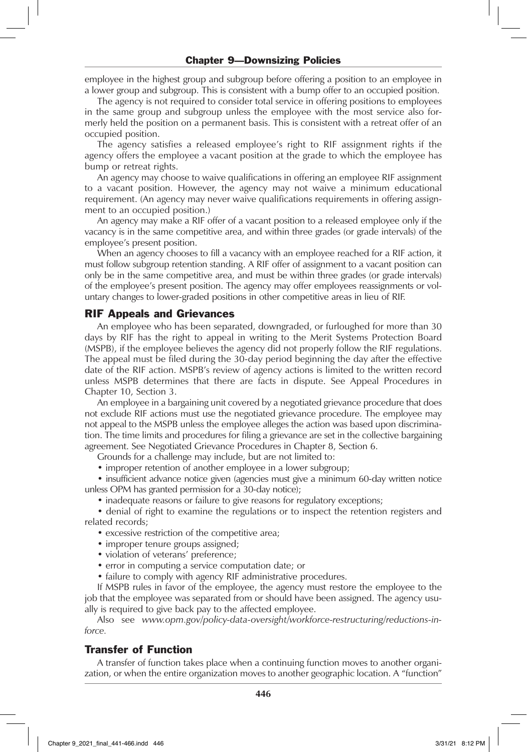employee in the highest group and subgroup before offering a position to an employee in a lower group and subgroup. This is consistent with a bump offer to an occupied position.

The agency is not required to consider total service in offering positions to employees in the same group and subgroup unless the employee with the most service also formerly held the position on a permanent basis. This is consistent with a retreat offer of an occupied position.

The agency satisfies a released employee's right to RIF assignment rights if the agency offers the employee a vacant position at the grade to which the employee has bump or retreat rights.

An agency may choose to waive qualifications in offering an employee RIF assignment to a vacant position. However, the agency may not waive a minimum educational requirement. (An agency may never waive qualifications requirements in offering assignment to an occupied position.)

An agency may make a RIF offer of a vacant position to a released employee only if the vacancy is in the same competitive area, and within three grades (or grade intervals) of the employee's present position.

When an agency chooses to fill a vacancy with an employee reached for a RIF action, it must follow subgroup retention standing. A RIF offer of assignment to a vacant position can only be in the same competitive area, and must be within three grades (or grade intervals) of the employee's present position. The agency may offer employees reassignments or voluntary changes to lower-graded positions in other competitive areas in lieu of RIF.

# RIF Appeals and Grievances

An employee who has been separated, downgraded, or furloughed for more than 30 days by RIF has the right to appeal in writing to the Merit Systems Protection Board (MSPB), if the employee believes the agency did not properly follow the RIF regulations. The appeal must be filed during the 30-day period beginning the day after the effective date of the RIF action. MSPB's review of agency actions is limited to the written record unless MSPB determines that there are facts in dispute. See Appeal Procedures in Chapter 10, Section 3.

An employee in a bargaining unit covered by a negotiated grievance procedure that does not exclude RIF actions must use the negotiated grievance procedure. The employee may not appeal to the MSPB unless the employee alleges the action was based upon discrimination. The time limits and procedures for filing a grievance are set in the collective bargaining agreement. See Negotiated Grievance Procedures in Chapter 8, Section 6.

Grounds for a challenge may include, but are not limited to:

• improper retention of another employee in a lower subgroup;

• insufficient advance notice given (agencies must give a minimum 60-day written notice unless OPM has granted permission for a 30-day notice);

• inadequate reasons or failure to give reasons for regulatory exceptions;

• denial of right to examine the regulations or to inspect the retention registers and related records;

• excessive restriction of the competitive area;

- improper tenure groups assigned;
- violation of veterans' preference;
- error in computing a service computation date; or
- failure to comply with agency RIF administrative procedures.

If MSPB rules in favor of the employee, the agency must restore the employee to the job that the employee was separated from or should have been assigned. The agency usually is required to give back pay to the affected employee.

Also see *www.opm.gov/policy-data-oversight/workforce-restructuring/reductions-inforce.*

# Transfer of Function

A transfer of function takes place when a continuing function moves to another organization, or when the entire organization moves to another geographic location. A "function"

**446**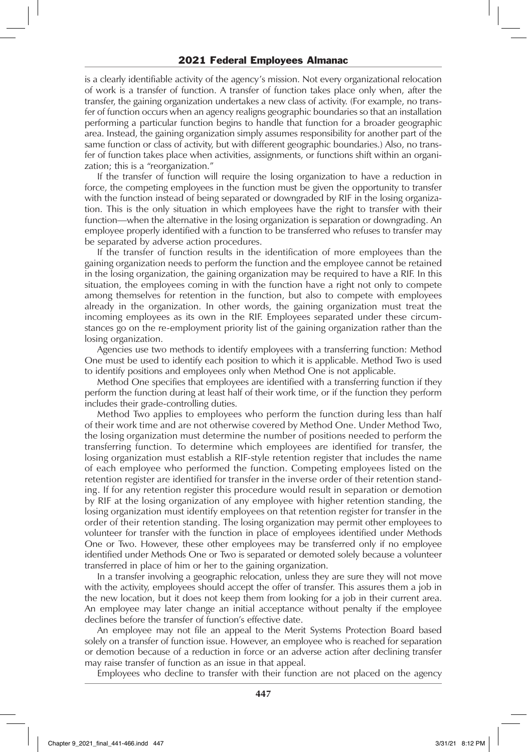is a clearly identifiable activity of the agency's mission. Not every organizational relocation of work is a transfer of function. A transfer of function takes place only when, after the transfer, the gaining organization undertakes a new class of activity. (For example, no transfer of function occurs when an agency realigns geographic boundaries so that an installation performing a particular function begins to handle that function for a broader geographic area. Instead, the gaining organization simply assumes responsibility for another part of the same function or class of activity, but with different geographic boundaries.) Also, no transfer of function takes place when activities, assignments, or functions shift within an organization; this is a "reorganization."

If the transfer of function will require the losing organization to have a reduction in force, the competing employees in the function must be given the opportunity to transfer with the function instead of being separated or downgraded by RIF in the losing organization. This is the only situation in which employees have the right to transfer with their function—when the alternative in the losing organization is separation or downgrading. An employee properly identified with a function to be transferred who refuses to transfer may be separated by adverse action procedures.

If the transfer of function results in the identification of more employees than the gaining organization needs to perform the function and the employee cannot be retained in the losing organization, the gaining organization may be required to have a RIF. In this situation, the employees coming in with the function have a right not only to compete among themselves for retention in the function, but also to compete with employees already in the organization. In other words, the gaining organization must treat the incoming employees as its own in the RIF. Employees separated under these circumstances go on the re-employment priority list of the gaining organization rather than the losing organization.

Agencies use two methods to identify employees with a transferring function: Method One must be used to identify each position to which it is applicable. Method Two is used to identify positions and employees only when Method One is not applicable.

Method One specifies that employees are identified with a transferring function if they perform the function during at least half of their work time, or if the function they perform includes their grade-controlling duties.

Method Two applies to employees who perform the function during less than half of their work time and are not otherwise covered by Method One. Under Method Two, the losing organization must determine the number of positions needed to perform the transferring function. To determine which employees are identified for transfer, the losing organization must establish a RIF-style retention register that includes the name of each employee who performed the function. Competing employees listed on the retention register are identified for transfer in the inverse order of their retention standing. If for any retention register this procedure would result in separation or demotion by RIF at the losing organization of any employee with higher retention standing, the losing organization must identify employees on that retention register for transfer in the order of their retention standing. The losing organization may permit other employees to volunteer for transfer with the function in place of employees identified under Methods One or Two. However, these other employees may be transferred only if no employee identified under Methods One or Two is separated or demoted solely because a volunteer transferred in place of him or her to the gaining organization.

In a transfer involving a geographic relocation, unless they are sure they will not move with the activity, employees should accept the offer of transfer. This assures them a job in the new location, but it does not keep them from looking for a job in their current area. An employee may later change an initial acceptance without penalty if the employee declines before the transfer of function's effective date.

An employee may not file an appeal to the Merit Systems Protection Board based solely on a transfer of function issue. However, an employee who is reached for separation or demotion because of a reduction in force or an adverse action after declining transfer may raise transfer of function as an issue in that appeal.

Employees who decline to transfer with their function are not placed on the agency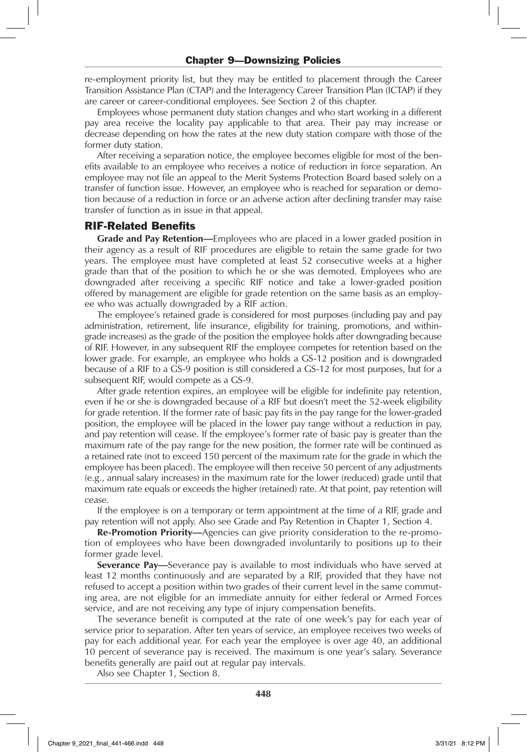re-employment priority list, but they may be entitled to placement through the Career Transition Assistance Plan (CTAP) and the Interagency Career Transition Plan (ICTAP) if they are career or career-conditional employees. See Section 2 of this chapter.

Employees whose permanent duty station changes and who start working in a different pay area receive the locality pay applicable to that area. Their pay may increase or decrease depending on how the rates at the new duty station compare with those of the former duty station.

After receiving a separation notice, the employee becomes eligible for most of the benefits available to an employee who receives a notice of reduction in force separation. An employee may not file an appeal to the Merit Systems Protection Board based solely on a transfer of function issue. However, an employee who is reached for separation or demotion because of a reduction in force or an adverse action after declining transfer may raise transfer of function as in issue in that appeal.

# RIF-Related Benefits

**Grade and Pay Retention—**Employees who are placed in a lower graded position in their agency as a result of RIF procedures are eligible to retain the same grade for two years. The employee must have completed at least 52 consecutive weeks at a higher grade than that of the position to which he or she was demoted. Employees who are downgraded after receiving a specific RIF notice and take a lower-graded position offered by management are eligible for grade retention on the same basis as an employee who was actually downgraded by a RIF action.

The employee's retained grade is considered for most purposes (including pay and pay administration, retirement, life insurance, eligibility for training, promotions, and withingrade increases) as the grade of the position the employee holds after downgrading because of RIF. However, in any subsequent RIF the employee competes for retention based on the lower grade. For example, an employee who holds a GS-12 position and is downgraded because of a RIF to a GS-9 position is still considered a GS-12 for most purposes, but for a subsequent RIF, would compete as a GS-9.

After grade retention expires, an employee will be eligible for indefinite pay retention, even if he or she is downgraded because of a RIF but doesn't meet the 52-week eligibility for grade retention. If the former rate of basic pay fits in the pay range for the lower-graded position, the employee will be placed in the lower pay range without a reduction in pay, and pay retention will cease. If the employee's former rate of basic pay is greater than the maximum rate of the pay range for the new position, the former rate will be continued as a retained rate (not to exceed 150 percent of the maximum rate for the grade in which the employee has been placed). The employee will then receive 50 percent of any adjustments (e.g., annual salary increases) in the maximum rate for the lower (reduced) grade until that maximum rate equals or exceeds the higher (retained) rate. At that point, pay retention will cease.

If the employee is on a temporary or term appointment at the time of a RIF, grade and pay retention will not apply. Also see Grade and Pay Retention in Chapter 1, Section 4.

**Re-Promotion Priority—**Agencies can give priority consideration to the re-promotion of employees who have been downgraded involuntarily to positions up to their former grade level.

**Severance Pay—Severance pay is available to most individuals who have served at** least 12 months continuously and are separated by a RIF, provided that they have not refused to accept a position within two grades of their current level in the same commuting area, are not eligible for an immediate annuity for either federal or Armed Forces service, and are not receiving any type of injury compensation benefits.

The severance benefit is computed at the rate of one week's pay for each year of service prior to separation. After ten years of service, an employee receives two weeks of pay for each additional year. For each year the employee is over age 40, an additional 10 percent of severance pay is received. The maximum is one year's salary. Severance benefits generally are paid out at regular pay intervals.

Also see Chapter 1, Section 8.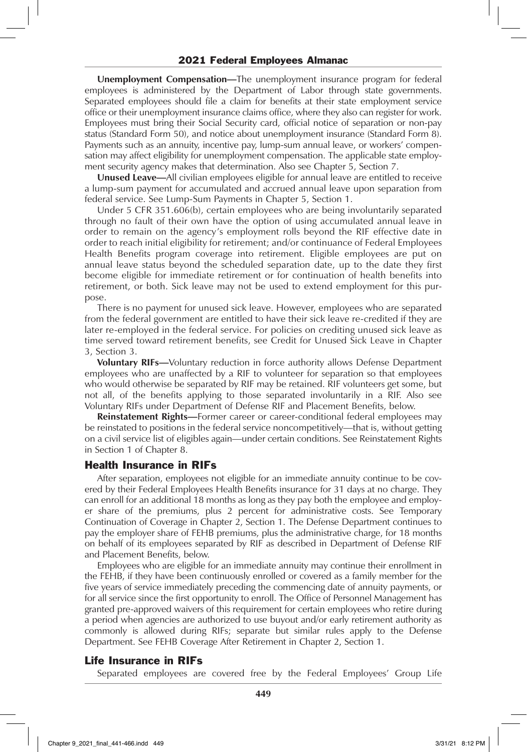**Unemployment Compensation—**The unemployment insurance program for federal employees is administered by the Department of Labor through state governments. Separated employees should file a claim for benefits at their state employment service office or their unemployment insurance claims office, where they also can register for work. Employees must bring their Social Security card, official notice of separation or non-pay status (Standard Form 50), and notice about unemployment insurance (Standard Form 8). Payments such as an annuity, incentive pay, lump-sum annual leave, or workers' compensation may affect eligibility for unemployment compensation. The applicable state employment security agency makes that determination. Also see Chapter 5, Section 7.

**Unused Leave—**All civilian employees eligible for annual leave are entitled to receive a lump-sum payment for accumulated and accrued annual leave upon separation from federal service. See Lump-Sum Payments in Chapter 5, Section 1.

Under 5 CFR 351.606(b), certain employees who are being involuntarily separated through no fault of their own have the option of using accumulated annual leave in order to remain on the agency's employment rolls beyond the RIF effective date in order to reach initial eligibility for retirement; and/or continuance of Federal Employees Health Benefits program coverage into retirement. Eligible employees are put on annual leave status beyond the scheduled separation date, up to the date they first become eligible for immediate retirement or for continuation of health benefits into retirement, or both. Sick leave may not be used to extend employment for this purpose.

There is no payment for unused sick leave. However, employees who are separated from the federal government are entitled to have their sick leave re-credited if they are later re-employed in the federal service. For policies on crediting unused sick leave as time served toward retirement benefits, see Credit for Unused Sick Leave in Chapter 3, Section 3.

**Voluntary RIFs—**Voluntary reduction in force authority allows Defense Department employees who are unaffected by a RIF to volunteer for separation so that employees who would otherwise be separated by RIF may be retained. RIF volunteers get some, but not all, of the benefits applying to those separated involuntarily in a RIF. Also see Voluntary RIFs under Department of Defense RIF and Placement Benefits, below.

**Reinstatement Rights—**Former career or career-conditional federal employees may be reinstated to positions in the federal service noncompetitively—that is, without getting on a civil service list of eligibles again—under certain conditions. See Reinstatement Rights in Section 1 of Chapter 8.

#### Health Insurance in RIFs

After separation, employees not eligible for an immediate annuity continue to be covered by their Federal Employees Health Benefits insurance for 31 days at no charge. They can enroll for an additional 18 months as long as they pay both the employee and employer share of the premiums, plus 2 percent for administrative costs. See Temporary Continuation of Coverage in Chapter 2, Section 1. The Defense Department continues to pay the employer share of FEHB premiums, plus the administrative charge, for 18 months on behalf of its employees separated by RIF as described in Department of Defense RIF and Placement Benefits, below.

Employees who are eligible for an immediate annuity may continue their enrollment in the FEHB, if they have been continuously enrolled or covered as a family member for the five years of service immediately preceding the commencing date of annuity payments, or for all service since the first opportunity to enroll. The Office of Personnel Management has granted pre-approved waivers of this requirement for certain employees who retire during a period when agencies are authorized to use buyout and/or early retirement authority as commonly is allowed during RIFs; separate but similar rules apply to the Defense Department. See FEHB Coverage After Retirement in Chapter 2, Section 1.

### Life Insurance in RIFs

Separated employees are covered free by the Federal Employees' Group Life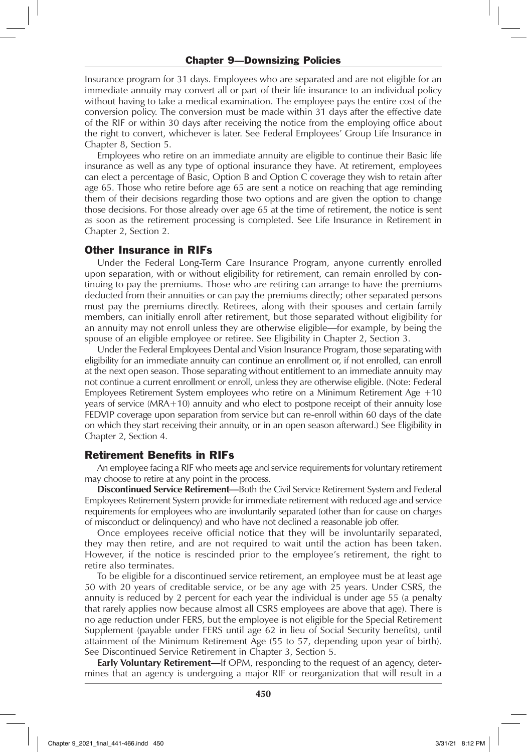Insurance program for 31 days. Employees who are separated and are not eligible for an immediate annuity may convert all or part of their life insurance to an individual policy without having to take a medical examination. The employee pays the entire cost of the conversion policy. The conversion must be made within 31 days after the effective date of the RIF or within 30 days after receiving the notice from the employing office about the right to convert, whichever is later. See Federal Employees' Group Life Insurance in Chapter 8, Section 5.

Employees who retire on an immediate annuity are eligible to continue their Basic life insurance as well as any type of optional insurance they have. At retirement, employees can elect a percentage of Basic, Option B and Option C coverage they wish to retain after age 65. Those who retire before age 65 are sent a notice on reaching that age reminding them of their decisions regarding those two options and are given the option to change those decisions. For those already over age 65 at the time of retirement, the notice is sent as soon as the retirement processing is completed. See Life Insurance in Retirement in Chapter 2, Section 2.

# Other Insurance in RIFs

Under the Federal Long-Term Care Insurance Program, anyone currently enrolled upon separation, with or without eligibility for retirement, can remain enrolled by continuing to pay the premiums. Those who are retiring can arrange to have the premiums deducted from their annuities or can pay the premiums directly; other separated persons must pay the premiums directly. Retirees, along with their spouses and certain family members, can initially enroll after retirement, but those separated without eligibility for an annuity may not enroll unless they are otherwise eligible—for example, by being the spouse of an eligible employee or retiree. See Eligibility in Chapter 2, Section 3.

Under the Federal Employees Dental and Vision Insurance Program, those separating with eligibility for an immediate annuity can continue an enrollment or, if not enrolled, can enroll at the next open season. Those separating without entitlement to an immediate annuity may not continue a current enrollment or enroll, unless they are otherwise eligible. (Note: Federal Employees Retirement System employees who retire on a Minimum Retirement Age +10 years of service (MRA+10) annuity and who elect to postpone receipt of their annuity lose FEDVIP coverage upon separation from service but can re-enroll within 60 days of the date on which they start receiving their annuity, or in an open season afterward.) See Eligibility in Chapter 2, Section 4.

# Retirement Benefits in RIFs

An employee facing a RIF who meets age and service requirements for voluntary retirement may choose to retire at any point in the process.

**Discontinued Service Retirement—**Both the Civil Service Retirement System and Federal Employees Retirement System provide for immediate retirement with reduced age and service requirements for employees who are involuntarily separated (other than for cause on charges of misconduct or delinquency) and who have not declined a reasonable job offer.

Once employees receive official notice that they will be involuntarily separated, they may then retire, and are not required to wait until the action has been taken. However, if the notice is rescinded prior to the employee's retirement, the right to retire also terminates.

To be eligible for a discontinued service retirement, an employee must be at least age 50 with 20 years of creditable service, or be any age with 25 years. Under CSRS, the annuity is reduced by 2 percent for each year the individual is under age 55 (a penalty that rarely applies now because almost all CSRS employees are above that age). There is no age reduction under FERS, but the employee is not eligible for the Special Retirement Supplement (payable under FERS until age 62 in lieu of Social Security benefits), until attainment of the Minimum Retirement Age (55 to 57, depending upon year of birth). See Discontinued Service Retirement in Chapter 3, Section 5.

**Early Voluntary Retirement—**If OPM, responding to the request of an agency, determines that an agency is undergoing a major RIF or reorganization that will result in a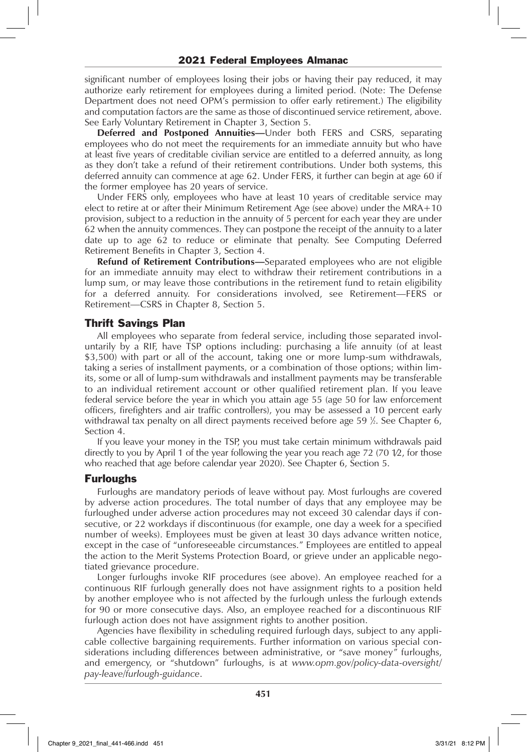significant number of employees losing their jobs or having their pay reduced, it may authorize early retirement for employees during a limited period. (Note: The Defense Department does not need OPM's permission to offer early retirement.) The eligibility and computation factors are the same as those of discontinued service retirement, above. See Early Voluntary Retirement in Chapter 3, Section 5.

**Deferred and Postponed Annuities—**Under both FERS and CSRS, separating employees who do not meet the requirements for an immediate annuity but who have at least five years of creditable civilian service are entitled to a deferred annuity, as long as they don't take a refund of their retirement contributions. Under both systems, this deferred annuity can commence at age 62. Under FERS, it further can begin at age 60 if the former employee has 20 years of service.

Under FERS only, employees who have at least 10 years of creditable service may elect to retire at or after their Minimum Retirement Age (see above) under the MRA+10 provision, subject to a reduction in the annuity of 5 percent for each year they are under 62 when the annuity commences. They can postpone the receipt of the annuity to a later date up to age 62 to reduce or eliminate that penalty. See Computing Deferred Retirement Benefits in Chapter 3, Section 4.

**Refund of Retirement Contributions—**Separated employees who are not eligible for an immediate annuity may elect to withdraw their retirement contributions in a lump sum, or may leave those contributions in the retirement fund to retain eligibility for a deferred annuity. For considerations involved, see Retirement—FERS or Retirement—CSRS in Chapter 8, Section 5.

#### Thrift Savings Plan

All employees who separate from federal service, including those separated involuntarily by a RIF, have TSP options including: purchasing a life annuity (of at least \$3,500) with part or all of the account, taking one or more lump-sum withdrawals, taking a series of installment payments, or a combination of those options; within limits, some or all of lump-sum withdrawals and installment payments may be transferable to an individual retirement account or other qualified retirement plan. If you leave federal service before the year in which you attain age 55 (age 50 for law enforcement officers, firefighters and air traffic controllers), you may be assessed a 10 percent early withdrawal tax penalty on all direct payments received before age 59  $\frac{1}{2}$ . See Chapter 6, Section 4.

If you leave your money in the TSP, you must take certain minimum withdrawals paid directly to you by April 1 of the year following the year you reach age  $72$  (70  $1/2$ , for those who reached that age before calendar year 2020). See Chapter 6, Section 5.

#### Furloughs

Furloughs are mandatory periods of leave without pay. Most furloughs are covered by adverse action procedures. The total number of days that any employee may be furloughed under adverse action procedures may not exceed 30 calendar days if consecutive, or 22 workdays if discontinuous (for example, one day a week for a specified number of weeks). Employees must be given at least 30 days advance written notice, except in the case of "unforeseeable circumstances." Employees are entitled to appeal the action to the Merit Systems Protection Board, or grieve under an applicable negotiated grievance procedure.

Longer furloughs invoke RIF procedures (see above). An employee reached for a continuous RIF furlough generally does not have assignment rights to a position held by another employee who is not affected by the furlough unless the furlough extends for 90 or more consecutive days. Also, an employee reached for a discontinuous RIF furlough action does not have assignment rights to another position.

Agencies have flexibility in scheduling required furlough days, subject to any applicable collective bargaining requirements. Further information on various special considerations including differences between administrative, or "save money" furloughs, and emergency, or "shutdown" furloughs, is at *www.opm.gov/policy-data-oversight/ pay-leave/furlough-guidance*.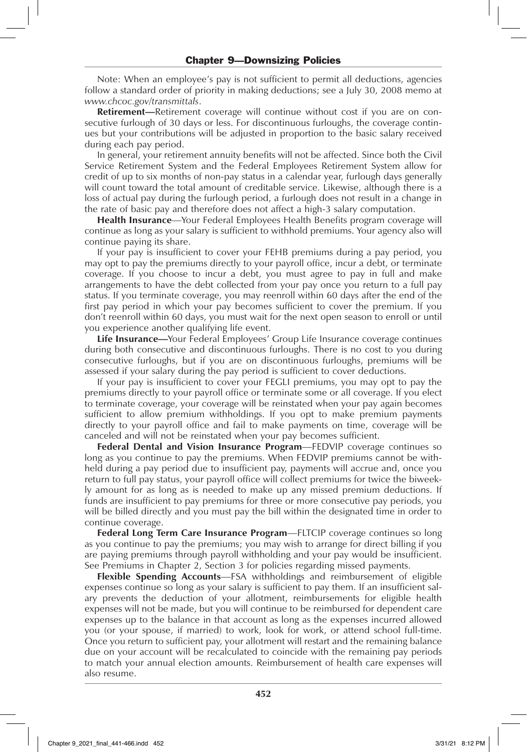Note: When an employee's pay is not sufficient to permit all deductions, agencies follow a standard order of priority in making deductions; see a July 30, 2008 memo at *www.chcoc.gov/transmittals*.

**Retirement—**Retirement coverage will continue without cost if you are on consecutive furlough of 30 days or less. For discontinuous furloughs, the coverage continues but your contributions will be adjusted in proportion to the basic salary received during each pay period.

In general, your retirement annuity benefits will not be affected. Since both the Civil Service Retirement System and the Federal Employees Retirement System allow for credit of up to six months of non-pay status in a calendar year, furlough days generally will count toward the total amount of creditable service. Likewise, although there is a loss of actual pay during the furlough period, a furlough does not result in a change in the rate of basic pay and therefore does not affect a high-3 salary computation.

**Health Insurance**—Your Federal Employees Health Benefits program coverage will continue as long as your salary is sufficient to withhold premiums. Your agency also will continue paying its share.

If your pay is insufficient to cover your FEHB premiums during a pay period, you may opt to pay the premiums directly to your payroll office, incur a debt, or terminate coverage. If you choose to incur a debt, you must agree to pay in full and make arrangements to have the debt collected from your pay once you return to a full pay status. If you terminate coverage, you may reenroll within 60 days after the end of the first pay period in which your pay becomes sufficient to cover the premium. If you don't reenroll within 60 days, you must wait for the next open season to enroll or until you experience another qualifying life event.

**Life Insurance—**Your Federal Employees' Group Life Insurance coverage continues during both consecutive and discontinuous furloughs. There is no cost to you during consecutive furloughs, but if you are on discontinuous furloughs, premiums will be assessed if your salary during the pay period is sufficient to cover deductions.

If your pay is insufficient to cover your FEGLI premiums, you may opt to pay the premiums directly to your payroll office or terminate some or all coverage. If you elect to terminate coverage, your coverage will be reinstated when your pay again becomes sufficient to allow premium withholdings. If you opt to make premium payments directly to your payroll office and fail to make payments on time, coverage will be canceled and will not be reinstated when your pay becomes sufficient.

**Federal Dental and Vision Insurance Program**—FEDVIP coverage continues so long as you continue to pay the premiums. When FEDVIP premiums cannot be withheld during a pay period due to insufficient pay, payments will accrue and, once you return to full pay status, your payroll office will collect premiums for twice the biweekly amount for as long as is needed to make up any missed premium deductions. If funds are insufficient to pay premiums for three or more consecutive pay periods, you will be billed directly and you must pay the bill within the designated time in order to continue coverage.

**Federal Long Term Care Insurance Program**—FLTCIP coverage continues so long as you continue to pay the premiums; you may wish to arrange for direct billing if you are paying premiums through payroll withholding and your pay would be insufficient. See Premiums in Chapter 2, Section 3 for policies regarding missed payments.

**Flexible Spending Accounts**—FSA withholdings and reimbursement of eligible expenses continue so long as your salary is sufficient to pay them. If an insufficient salary prevents the deduction of your allotment, reimbursements for eligible health expenses will not be made, but you will continue to be reimbursed for dependent care expenses up to the balance in that account as long as the expenses incurred allowed you (or your spouse, if married) to work, look for work, or attend school full-time. Once you return to sufficient pay, your allotment will restart and the remaining balance due on your account will be recalculated to coincide with the remaining pay periods to match your annual election amounts. Reimbursement of health care expenses will also resume.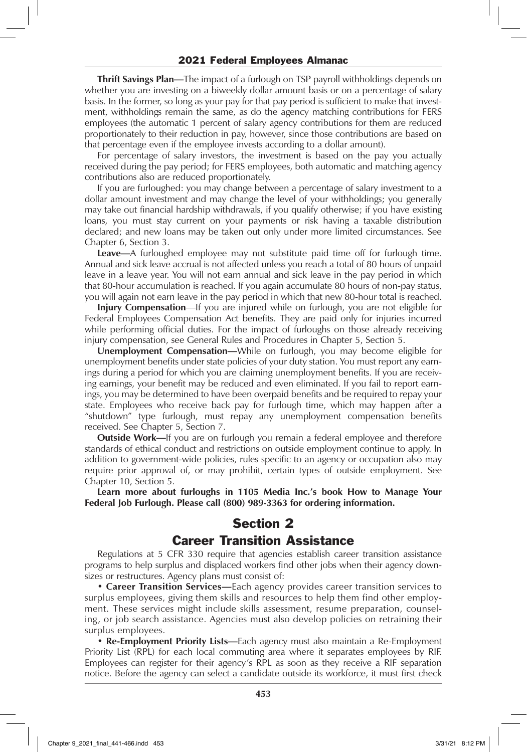**Thrift Savings Plan—**The impact of a furlough on TSP payroll withholdings depends on whether you are investing on a biweekly dollar amount basis or on a percentage of salary basis. In the former, so long as your pay for that pay period is sufficient to make that investment, withholdings remain the same, as do the agency matching contributions for FERS employees (the automatic 1 percent of salary agency contributions for them are reduced proportionately to their reduction in pay, however, since those contributions are based on that percentage even if the employee invests according to a dollar amount).

For percentage of salary investors, the investment is based on the pay you actually received during the pay period; for FERS employees, both automatic and matching agency contributions also are reduced proportionately.

If you are furloughed: you may change between a percentage of salary investment to a dollar amount investment and may change the level of your withholdings; you generally may take out financial hardship withdrawals, if you qualify otherwise; if you have existing loans, you must stay current on your payments or risk having a taxable distribution declared; and new loans may be taken out only under more limited circumstances. See Chapter 6, Section 3.

**Leave—**A furloughed employee may not substitute paid time off for furlough time. Annual and sick leave accrual is not affected unless you reach a total of 80 hours of unpaid leave in a leave year. You will not earn annual and sick leave in the pay period in which that 80-hour accumulation is reached. If you again accumulate 80 hours of non-pay status, you will again not earn leave in the pay period in which that new 80-hour total is reached.

**Injury Compensation**—If you are injured while on furlough, you are not eligible for Federal Employees Compensation Act benefits. They are paid only for injuries incurred while performing official duties. For the impact of furloughs on those already receiving injury compensation, see General Rules and Procedures in Chapter 5, Section 5.

**Unemployment Compensation—**While on furlough, you may become eligible for unemployment benefits under state policies of your duty station. You must report any earnings during a period for which you are claiming unemployment benefits. If you are receiving earnings, your benefit may be reduced and even eliminated. If you fail to report earnings, you may be determined to have been overpaid benefits and be required to repay your state. Employees who receive back pay for furlough time, which may happen after a "shutdown" type furlough, must repay any unemployment compensation benefits received. See Chapter 5, Section 7.

**Outside Work—**If you are on furlough you remain a federal employee and therefore standards of ethical conduct and restrictions on outside employment continue to apply. In addition to government-wide policies, rules specific to an agency or occupation also may require prior approval of, or may prohibit, certain types of outside employment. See Chapter 10, Section 5.

**Learn more about furloughs in 1105 Media Inc.'s book How to Manage Your Federal Job Furlough. Please call (800) 989-3363 for ordering information.**

# Section 2

# Career Transition Assistance

Regulations at 5 CFR 330 require that agencies establish career transition assistance programs to help surplus and displaced workers find other jobs when their agency downsizes or restructures. Agency plans must consist of:

**• Career Transition Services—**Each agency provides career transition services to surplus employees, giving them skills and resources to help them find other employment. These services might include skills assessment, resume preparation, counseling, or job search assistance. Agencies must also develop policies on retraining their surplus employees.

**• Re-Employment Priority Lists—**Each agency must also maintain a Re-Employment Priority List (RPL) for each local commuting area where it separates employees by RIF. Employees can register for their agency's RPL as soon as they receive a RIF separation notice. Before the agency can select a candidate outside its workforce, it must first check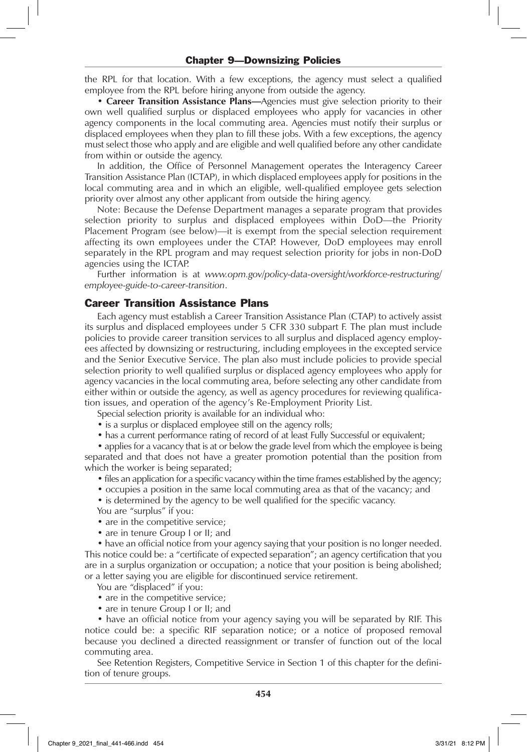the RPL for that location. With a few exceptions, the agency must select a qualified employee from the RPL before hiring anyone from outside the agency.

**• Career Transition Assistance Plans—**Agencies must give selection priority to their own well qualified surplus or displaced employees who apply for vacancies in other agency components in the local commuting area. Agencies must notify their surplus or displaced employees when they plan to fill these jobs. With a few exceptions, the agency must select those who apply and are eligible and well qualified before any other candidate from within or outside the agency.

In addition, the Office of Personnel Management operates the Interagency Career Transition Assistance Plan (ICTAP), in which displaced employees apply for positions in the local commuting area and in which an eligible, well-qualified employee gets selection priority over almost any other applicant from outside the hiring agency.

Note: Because the Defense Department manages a separate program that provides selection priority to surplus and displaced employees within DoD—the Priority Placement Program (see below)—it is exempt from the special selection requirement affecting its own employees under the CTAP. However, DoD employees may enroll separately in the RPL program and may request selection priority for jobs in non-DoD agencies using the ICTAP.

Further information is at *www.opm.gov/policy-data-oversight/workforce-restructuring/ employee-guide-to-career-transition*.

# Career Transition Assistance Plans

Each agency must establish a Career Transition Assistance Plan (CTAP) to actively assist its surplus and displaced employees under 5 CFR 330 subpart F. The plan must include policies to provide career transition services to all surplus and displaced agency employees affected by downsizing or restructuring, including employees in the excepted service and the Senior Executive Service. The plan also must include policies to provide special selection priority to well qualified surplus or displaced agency employees who apply for agency vacancies in the local commuting area, before selecting any other candidate from either within or outside the agency, as well as agency procedures for reviewing qualification issues, and operation of the agency's Re-Employment Priority List.

Special selection priority is available for an individual who:

- is a surplus or displaced employee still on the agency rolls;
- has a current performance rating of record of at least Fully Successful or equivalent;

• applies for a vacancy that is at or below the grade level from which the employee is being separated and that does not have a greater promotion potential than the position from which the worker is being separated;

- files an application for a specific vacancy within the time frames established by the agency;
- occupies a position in the same local commuting area as that of the vacancy; and

• is determined by the agency to be well qualified for the specific vacancy. You are "surplus" if you:

- are in the competitive service;
- are in tenure Group I or II; and

• have an official notice from your agency saying that your position is no longer needed. This notice could be: a "certificate of expected separation"; an agency certification that you are in a surplus organization or occupation; a notice that your position is being abolished; or a letter saying you are eligible for discontinued service retirement.

You are "displaced" if you:

- are in the competitive service;
- are in tenure Group I or II; and

• have an official notice from your agency saying you will be separated by RIF. This notice could be: a specific RIF separation notice; or a notice of proposed removal because you declined a directed reassignment or transfer of function out of the local commuting area.

See Retention Registers, Competitive Service in Section 1 of this chapter for the definition of tenure groups.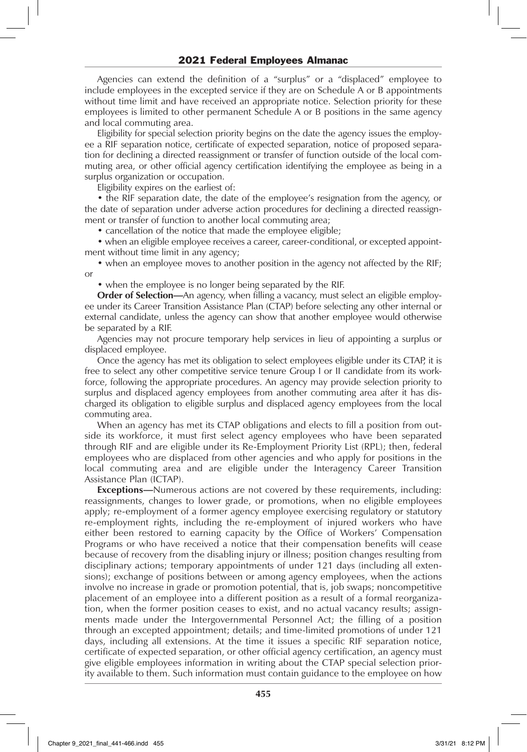Agencies can extend the definition of a "surplus" or a "displaced" employee to include employees in the excepted service if they are on Schedule A or B appointments without time limit and have received an appropriate notice. Selection priority for these employees is limited to other permanent Schedule A or B positions in the same agency and local commuting area.

Eligibility for special selection priority begins on the date the agency issues the employee a RIF separation notice, certificate of expected separation, notice of proposed separation for declining a directed reassignment or transfer of function outside of the local commuting area, or other official agency certification identifying the employee as being in a surplus organization or occupation.

Eligibility expires on the earliest of:

• the RIF separation date, the date of the employee's resignation from the agency, or the date of separation under adverse action procedures for declining a directed reassignment or transfer of function to another local commuting area;

• cancellation of the notice that made the employee eligible;

• when an eligible employee receives a career, career-conditional, or excepted appointment without time limit in any agency;

• when an employee moves to another position in the agency not affected by the RIF; or

• when the employee is no longer being separated by the RIF.

**Order of Selection—**An agency, when filling a vacancy, must select an eligible employee under its Career Transition Assistance Plan (CTAP) before selecting any other internal or external candidate, unless the agency can show that another employee would otherwise be separated by a RIF.

Agencies may not procure temporary help services in lieu of appointing a surplus or displaced employee.

Once the agency has met its obligation to select employees eligible under its CTAP, it is free to select any other competitive service tenure Group I or II candidate from its workforce, following the appropriate procedures. An agency may provide selection priority to surplus and displaced agency employees from another commuting area after it has discharged its obligation to eligible surplus and displaced agency employees from the local commuting area.

When an agency has met its CTAP obligations and elects to fill a position from outside its workforce, it must first select agency employees who have been separated through RIF and are eligible under its Re-Employment Priority List (RPL); then, federal employees who are displaced from other agencies and who apply for positions in the local commuting area and are eligible under the Interagency Career Transition Assistance Plan (ICTAP).

**Exceptions—**Numerous actions are not covered by these requirements, including: reassignments, changes to lower grade, or promotions, when no eligible employees apply; re-employment of a former agency employee exercising regulatory or statutory re-employment rights, including the re-employment of injured workers who have either been restored to earning capacity by the Office of Workers' Compensation Programs or who have received a notice that their compensation benefits will cease because of recovery from the disabling injury or illness; position changes resulting from disciplinary actions; temporary appointments of under 121 days (including all extensions); exchange of positions between or among agency employees, when the actions involve no increase in grade or promotion potential, that is, job swaps; noncompetitive placement of an employee into a different position as a result of a formal reorganization, when the former position ceases to exist, and no actual vacancy results; assignments made under the Intergovernmental Personnel Act; the filling of a position through an excepted appointment; details; and time-limited promotions of under 121 days, including all extensions. At the time it issues a specific RIF separation notice, certificate of expected separation, or other official agency certification, an agency must give eligible employees information in writing about the CTAP special selection priority available to them. Such information must contain guidance to the employee on how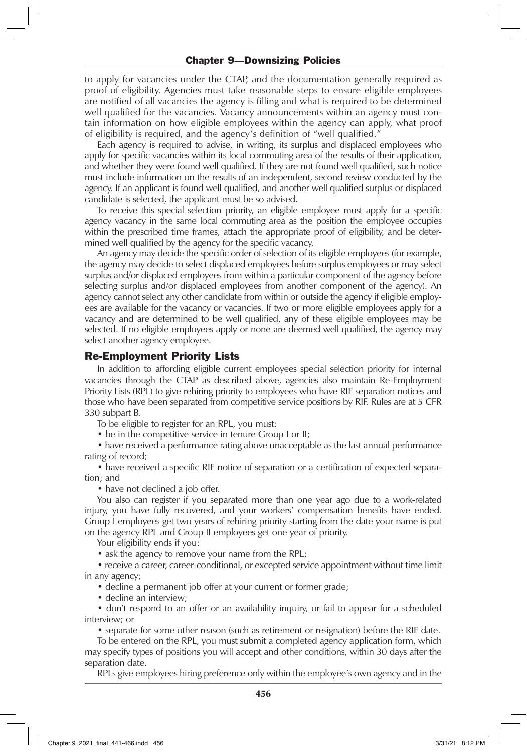to apply for vacancies under the CTAP, and the documentation generally required as proof of eligibility. Agencies must take reasonable steps to ensure eligible employees are notified of all vacancies the agency is filling and what is required to be determined well qualified for the vacancies. Vacancy announcements within an agency must contain information on how eligible employees within the agency can apply, what proof of eligibility is required, and the agency's definition of "well qualified."

Each agency is required to advise, in writing, its surplus and displaced employees who apply for specific vacancies within its local commuting area of the results of their application, and whether they were found well qualified. If they are not found well qualified, such notice must include information on the results of an independent, second review conducted by the agency. If an applicant is found well qualified, and another well qualified surplus or displaced candidate is selected, the applicant must be so advised.

To receive this special selection priority, an eligible employee must apply for a specific agency vacancy in the same local commuting area as the position the employee occupies within the prescribed time frames, attach the appropriate proof of eligibility, and be determined well qualified by the agency for the specific vacancy.

An agency may decide the specific order of selection of its eligible employees (for example, the agency may decide to select displaced employees before surplus employees or may select surplus and/or displaced employees from within a particular component of the agency before selecting surplus and/or displaced employees from another component of the agency). An agency cannot select any other candidate from within or outside the agency if eligible employees are available for the vacancy or vacancies. If two or more eligible employees apply for a vacancy and are determined to be well qualified, any of these eligible employees may be selected. If no eligible employees apply or none are deemed well qualified, the agency may select another agency employee.

## Re-Employment Priority Lists

In addition to affording eligible current employees special selection priority for internal vacancies through the CTAP as described above, agencies also maintain Re-Employment Priority Lists (RPL) to give rehiring priority to employees who have RIF separation notices and those who have been separated from competitive service positions by RIF. Rules are at 5 CFR 330 subpart B.

To be eligible to register for an RPL, you must:

• be in the competitive service in tenure Group I or II;

• have received a performance rating above unacceptable as the last annual performance rating of record;

• have received a specific RIF notice of separation or a certification of expected separation; and

• have not declined a job offer.

You also can register if you separated more than one year ago due to a work-related injury, you have fully recovered, and your workers' compensation benefits have ended. Group I employees get two years of rehiring priority starting from the date your name is put on the agency RPL and Group II employees get one year of priority.

Your eligibility ends if you:

• ask the agency to remove your name from the RPL;

• receive a career, career-conditional, or excepted service appointment without time limit in any agency;

• decline a permanent job offer at your current or former grade;

• decline an interview;

• don't respond to an offer or an availability inquiry, or fail to appear for a scheduled interview; or

• separate for some other reason (such as retirement or resignation) before the RIF date.

To be entered on the RPL, you must submit a completed agency application form, which may specify types of positions you will accept and other conditions, within 30 days after the separation date.

RPLs give employees hiring preference only within the employee's own agency and in the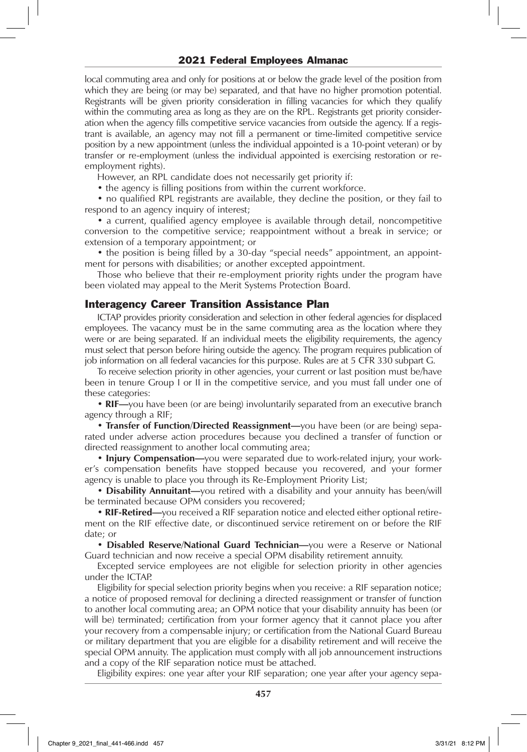local commuting area and only for positions at or below the grade level of the position from which they are being (or may be) separated, and that have no higher promotion potential. Registrants will be given priority consideration in filling vacancies for which they qualify within the commuting area as long as they are on the RPL. Registrants get priority consideration when the agency fills competitive service vacancies from outside the agency. If a registrant is available, an agency may not fill a permanent or time-limited competitive service position by a new appointment (unless the individual appointed is a 10-point veteran) or by transfer or re-employment (unless the individual appointed is exercising restoration or reemployment rights).

However, an RPL candidate does not necessarily get priority if:

• the agency is filling positions from within the current workforce.

• no qualified RPL registrants are available, they decline the position, or they fail to respond to an agency inquiry of interest;

• a current, qualified agency employee is available through detail, noncompetitive conversion to the competitive service; reappointment without a break in service; or extension of a temporary appointment; or

• the position is being filled by a 30-day "special needs" appointment, an appointment for persons with disabilities; or another excepted appointment.

Those who believe that their re-employment priority rights under the program have been violated may appeal to the Merit Systems Protection Board.

## Interagency Career Transition Assistance Plan

ICTAP provides priority consideration and selection in other federal agencies for displaced employees. The vacancy must be in the same commuting area as the location where they were or are being separated. If an individual meets the eligibility requirements, the agency must select that person before hiring outside the agency. The program requires publication of job information on all federal vacancies for this purpose. Rules are at 5 CFR 330 subpart G.

To receive selection priority in other agencies, your current or last position must be/have been in tenure Group I or II in the competitive service, and you must fall under one of these categories:

• **RIF—**you have been (or are being) involuntarily separated from an executive branch agency through a RIF;

**• Transfer of Function/Directed Reassignment—**you have been (or are being) separated under adverse action procedures because you declined a transfer of function or directed reassignment to another local commuting area;

**• Injury Compensation—**you were separated due to work-related injury, your worker's compensation benefits have stopped because you recovered, and your former agency is unable to place you through its Re-Employment Priority List;

**• Disability Annuitant—**you retired with a disability and your annuity has been/will be terminated because OPM considers you recovered;

**• RIF-Retired—**you received a RIF separation notice and elected either optional retirement on the RIF effective date, or discontinued service retirement on or before the RIF date; or

**• Disabled Reserve/National Guard Technician—**you were a Reserve or National Guard technician and now receive a special OPM disability retirement annuity.

Excepted service employees are not eligible for selection priority in other agencies under the ICTAP.

Eligibility for special selection priority begins when you receive: a RIF separation notice; a notice of proposed removal for declining a directed reassignment or transfer of function to another local commuting area; an OPM notice that your disability annuity has been (or will be) terminated; certification from your former agency that it cannot place you after your recovery from a compensable injury; or certification from the National Guard Bureau or military department that you are eligible for a disability retirement and will receive the special OPM annuity. The application must comply with all job announcement instructions and a copy of the RIF separation notice must be attached.

Eligibility expires: one year after your RIF separation; one year after your agency sepa-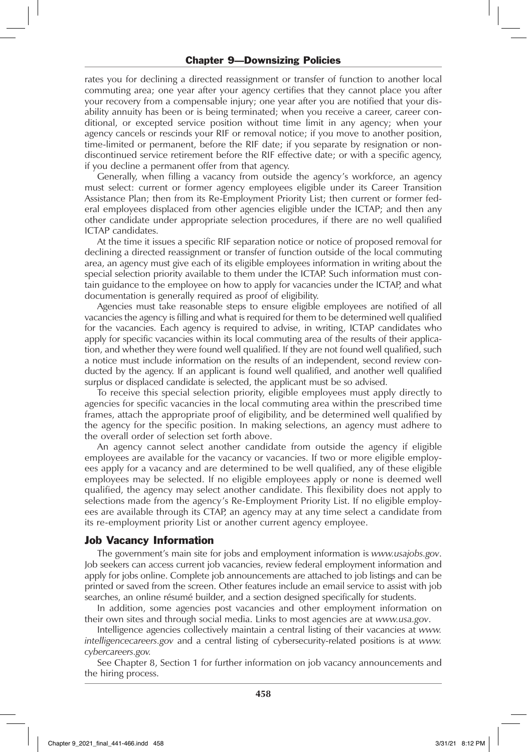rates you for declining a directed reassignment or transfer of function to another local commuting area; one year after your agency certifies that they cannot place you after your recovery from a compensable injury; one year after you are notified that your disability annuity has been or is being terminated; when you receive a career, career conditional, or excepted service position without time limit in any agency; when your agency cancels or rescinds your RIF or removal notice; if you move to another position, time-limited or permanent, before the RIF date; if you separate by resignation or nondiscontinued service retirement before the RIF effective date; or with a specific agency, if you decline a permanent offer from that agency.

Generally, when filling a vacancy from outside the agency's workforce, an agency must select: current or former agency employees eligible under its Career Transition Assistance Plan; then from its Re-Employment Priority List; then current or former federal employees displaced from other agencies eligible under the ICTAP; and then any other candidate under appropriate selection procedures, if there are no well qualified ICTAP candidates.

At the time it issues a specific RIF separation notice or notice of proposed removal for declining a directed reassignment or transfer of function outside of the local commuting area, an agency must give each of its eligible employees information in writing about the special selection priority available to them under the ICTAP. Such information must contain guidance to the employee on how to apply for vacancies under the ICTAP, and what documentation is generally required as proof of eligibility.

Agencies must take reasonable steps to ensure eligible employees are notified of all vacancies the agency is filling and what is required for them to be determined well qualified for the vacancies. Each agency is required to advise, in writing, ICTAP candidates who apply for specific vacancies within its local commuting area of the results of their application, and whether they were found well qualified. If they are not found well qualified, such a notice must include information on the results of an independent, second review conducted by the agency. If an applicant is found well qualified, and another well qualified surplus or displaced candidate is selected, the applicant must be so advised.

To receive this special selection priority, eligible employees must apply directly to agencies for specific vacancies in the local commuting area within the prescribed time frames, attach the appropriate proof of eligibility, and be determined well qualified by the agency for the specific position. In making selections, an agency must adhere to the overall order of selection set forth above.

An agency cannot select another candidate from outside the agency if eligible employees are available for the vacancy or vacancies. If two or more eligible employees apply for a vacancy and are determined to be well qualified, any of these eligible employees may be selected. If no eligible employees apply or none is deemed well qualified, the agency may select another candidate. This flexibility does not apply to selections made from the agency's Re-Employment Priority List. If no eligible employees are available through its CTAP, an agency may at any time select a candidate from its re-employment priority List or another current agency employee.

#### Job Vacancy Information

The government's main site for jobs and employment information is *www.usajobs.gov*. Job seekers can access current job vacancies, review federal employment information and apply for jobs online. Complete job announcements are attached to job listings and can be printed or saved from the screen. Other features include an email service to assist with job searches, an online résumé builder, and a section designed specifically for students.

In addition, some agencies post vacancies and other employment information on their own sites and through social media. Links to most agencies are at *www.usa.gov*.

Intelligence agencies collectively maintain a central listing of their vacancies at *www. intelligencecareers.gov* and a central listing of cybersecurity-related positions is at *www. cybercareers.gov.*

See Chapter 8, Section 1 for further information on job vacancy announcements and the hiring process.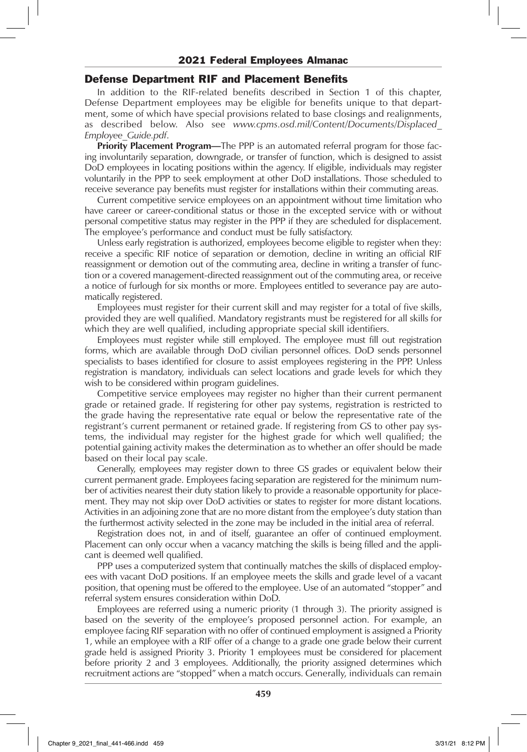#### 2021 Federal Employees Almanac

# Defense Department RIF and Placement Benefits

In addition to the RIF-related benefits described in Section 1 of this chapter, Defense Department employees may be eligible for benefits unique to that department, some of which have special provisions related to base closings and realignments, as described below. Also see *www.cpms.osd.mil/Content/Documents/Displaced\_ Employee\_Guide.pdf*.

**Priority Placement Program—**The PPP is an automated referral program for those facing involuntarily separation, downgrade, or transfer of function, which is designed to assist DoD employees in locating positions within the agency. If eligible, individuals may register voluntarily in the PPP to seek employment at other DoD installations. Those scheduled to receive severance pay benefits must register for installations within their commuting areas.

Current competitive service employees on an appointment without time limitation who have career or career-conditional status or those in the excepted service with or without personal competitive status may register in the PPP if they are scheduled for displacement. The employee's performance and conduct must be fully satisfactory.

Unless early registration is authorized, employees become eligible to register when they: receive a specific RIF notice of separation or demotion, decline in writing an official RIF reassignment or demotion out of the commuting area, decline in writing a transfer of function or a covered management-directed reassignment out of the commuting area, or receive a notice of furlough for six months or more. Employees entitled to severance pay are automatically registered.

Employees must register for their current skill and may register for a total of five skills, provided they are well qualified. Mandatory registrants must be registered for all skills for which they are well qualified, including appropriate special skill identifiers.

Employees must register while still employed. The employee must fill out registration forms, which are available through DoD civilian personnel offices. DoD sends personnel specialists to bases identified for closure to assist employees registering in the PPP. Unless registration is mandatory, individuals can select locations and grade levels for which they wish to be considered within program guidelines.

Competitive service employees may register no higher than their current permanent grade or retained grade. If registering for other pay systems, registration is restricted to the grade having the representative rate equal or below the representative rate of the registrant's current permanent or retained grade. If registering from GS to other pay systems, the individual may register for the highest grade for which well qualified; the potential gaining activity makes the determination as to whether an offer should be made based on their local pay scale.

Generally, employees may register down to three GS grades or equivalent below their current permanent grade. Employees facing separation are registered for the minimum number of activities nearest their duty station likely to provide a reasonable opportunity for placement. They may not skip over DoD activities or states to register for more distant locations. Activities in an adjoining zone that are no more distant from the employee's duty station than the furthermost activity selected in the zone may be included in the initial area of referral.

Registration does not, in and of itself, guarantee an offer of continued employment. Placement can only occur when a vacancy matching the skills is being filled and the applicant is deemed well qualified.

PPP uses a computerized system that continually matches the skills of displaced employees with vacant DoD positions. If an employee meets the skills and grade level of a vacant position, that opening must be offered to the employee. Use of an automated "stopper" and referral system ensures consideration within DoD.

Employees are referred using a numeric priority (1 through 3). The priority assigned is based on the severity of the employee's proposed personnel action. For example, an employee facing RIF separation with no offer of continued employment is assigned a Priority 1, while an employee with a RIF offer of a change to a grade one grade below their current grade held is assigned Priority 3. Priority 1 employees must be considered for placement before priority 2 and 3 employees. Additionally, the priority assigned determines which recruitment actions are "stopped" when a match occurs. Generally, individuals can remain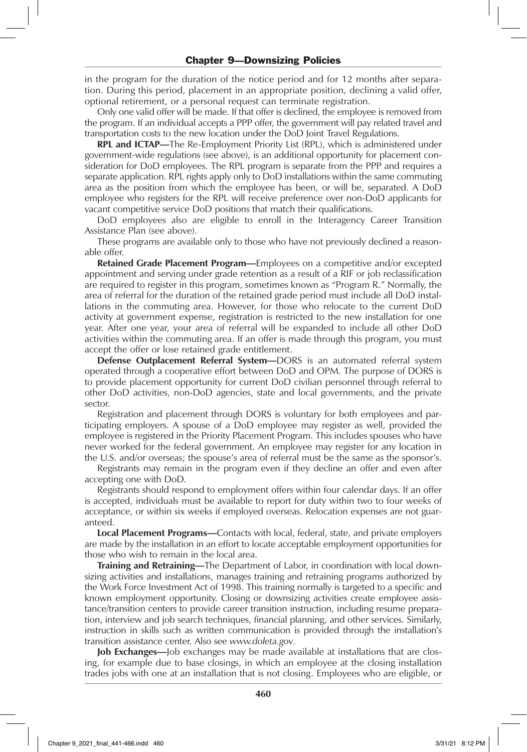in the program for the duration of the notice period and for 12 months after separation. During this period, placement in an appropriate position, declining a valid offer, optional retirement, or a personal request can terminate registration.

Only one valid offer will be made. If that offer is declined, the employee is removed from the program. If an individual accepts a PPP offer, the government will pay related travel and transportation costs to the new location under the DoD Joint Travel Regulations.

**RPL and ICTAP—**The Re-Employment Priority List (RPL), which is administered under government-wide regulations (see above), is an additional opportunity for placement consideration for DoD employees. The RPL program is separate from the PPP and requires a separate application. RPL rights apply only to DoD installations within the same commuting area as the position from which the employee has been, or will be, separated. A DoD employee who registers for the RPL will receive preference over non-DoD applicants for vacant competitive service DoD positions that match their qualifications.

DoD employees also are eligible to enroll in the Interagency Career Transition Assistance Plan (see above).

These programs are available only to those who have not previously declined a reasonable offer.

**Retained Grade Placement Program—**Employees on a competitive and/or excepted appointment and serving under grade retention as a result of a RIF or job reclassification are required to register in this program, sometimes known as "Program R." Normally, the area of referral for the duration of the retained grade period must include all DoD installations in the commuting area. However, for those who relocate to the current DoD activity at government expense, registration is restricted to the new installation for one year. After one year, your area of referral will be expanded to include all other DoD activities within the commuting area. If an offer is made through this program, you must accept the offer or lose retained grade entitlement.

**Defense Outplacement Referral System—**DORS is an automated referral system operated through a cooperative effort between DoD and OPM. The purpose of DORS is to provide placement opportunity for current DoD civilian personnel through referral to other DoD activities, non-DoD agencies, state and local governments, and the private sector.

Registration and placement through DORS is voluntary for both employees and participating employers. A spouse of a DoD employee may register as well, provided the employee is registered in the Priority Placement Program. This includes spouses who have never worked for the federal government. An employee may register for any location in the U.S. and/or overseas; the spouse's area of referral must be the same as the sponsor's.

Registrants may remain in the program even if they decline an offer and even after accepting one with DoD.

Registrants should respond to employment offers within four calendar days. If an offer is accepted, individuals must be available to report for duty within two to four weeks of acceptance, or within six weeks if employed overseas. Relocation expenses are not guaranteed.

**Local Placement Programs—**Contacts with local, federal, state, and private employers are made by the installation in an effort to locate acceptable employment opportunities for those who wish to remain in the local area.

**Training and Retraining—**The Department of Labor, in coordination with local downsizing activities and installations, manages training and retraining programs authorized by the Work Force Investment Act of 1998. This training normally is targeted to a specific and known employment opportunity. Closing or downsizing activities create employee assistance/transition centers to provide career transition instruction, including resume preparation, interview and job search techniques, financial planning, and other services. Similarly, instruction in skills such as written communication is provided through the installation's transition assistance center. Also see *www.doleta.gov*.

**Job Exchanges—**Job exchanges may be made available at installations that are closing, for example due to base closings, in which an employee at the closing installation trades jobs with one at an installation that is not closing. Employees who are eligible, or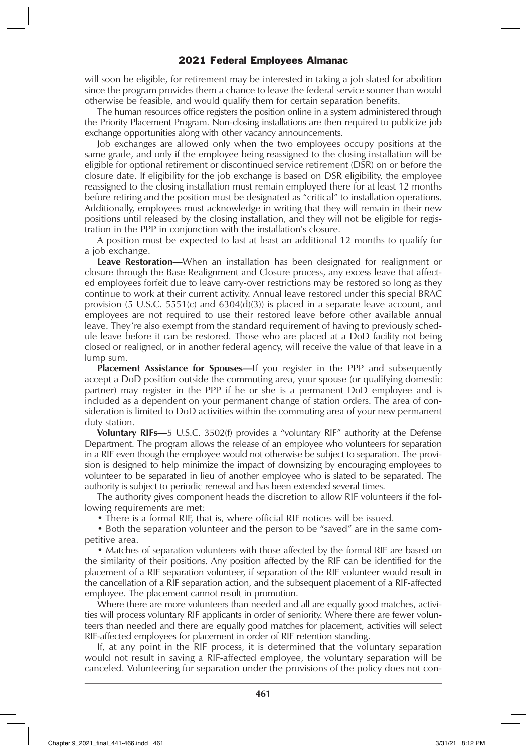will soon be eligible, for retirement may be interested in taking a job slated for abolition since the program provides them a chance to leave the federal service sooner than would otherwise be feasible, and would qualify them for certain separation benefits.

The human resources office registers the position online in a system administered through the Priority Placement Program. Non-closing installations are then required to publicize job exchange opportunities along with other vacancy announcements.

Job exchanges are allowed only when the two employees occupy positions at the same grade, and only if the employee being reassigned to the closing installation will be eligible for optional retirement or discontinued service retirement (DSR) on or before the closure date. If eligibility for the job exchange is based on DSR eligibility, the employee reassigned to the closing installation must remain employed there for at least 12 months before retiring and the position must be designated as "critical" to installation operations. Additionally, employees must acknowledge in writing that they will remain in their new positions until released by the closing installation, and they will not be eligible for registration in the PPP in conjunction with the installation's closure.

A position must be expected to last at least an additional 12 months to qualify for a job exchange.

**Leave Restoration—**When an installation has been designated for realignment or closure through the Base Realignment and Closure process, any excess leave that affected employees forfeit due to leave carry-over restrictions may be restored so long as they continue to work at their current activity. Annual leave restored under this special BRAC provision (5 U.S.C. 5551(c) and  $6304(d)(3)$ ) is placed in a separate leave account, and employees are not required to use their restored leave before other available annual leave. They're also exempt from the standard requirement of having to previously schedule leave before it can be restored. Those who are placed at a DoD facility not being closed or realigned, or in another federal agency, will receive the value of that leave in a lump sum.

**Placement Assistance for Spouses—If** you register in the PPP and subsequently accept a DoD position outside the commuting area, your spouse (or qualifying domestic partner) may register in the PPP if he or she is a permanent DoD employee and is included as a dependent on your permanent change of station orders. The area of consideration is limited to DoD activities within the commuting area of your new permanent duty station.

**Voluntary RIFs—**5 U.S.C. 3502(f) provides a "voluntary RIF" authority at the Defense Department. The program allows the release of an employee who volunteers for separation in a RIF even though the employee would not otherwise be subject to separation. The provision is designed to help minimize the impact of downsizing by encouraging employees to volunteer to be separated in lieu of another employee who is slated to be separated. The authority is subject to periodic renewal and has been extended several times.

The authority gives component heads the discretion to allow RIF volunteers if the following requirements are met:

• There is a formal RIF, that is, where official RIF notices will be issued.

• Both the separation volunteer and the person to be "saved" are in the same competitive area.

• Matches of separation volunteers with those affected by the formal RIF are based on the similarity of their positions. Any position affected by the RIF can be identified for the placement of a RIF separation volunteer, if separation of the RIF volunteer would result in the cancellation of a RIF separation action, and the subsequent placement of a RIF-affected employee. The placement cannot result in promotion.

Where there are more volunteers than needed and all are equally good matches, activities will process voluntary RIF applicants in order of seniority. Where there are fewer volunteers than needed and there are equally good matches for placement, activities will select RIF-affected employees for placement in order of RIF retention standing.

If, at any point in the RIF process, it is determined that the voluntary separation would not result in saving a RIF-affected employee, the voluntary separation will be canceled. Volunteering for separation under the provisions of the policy does not con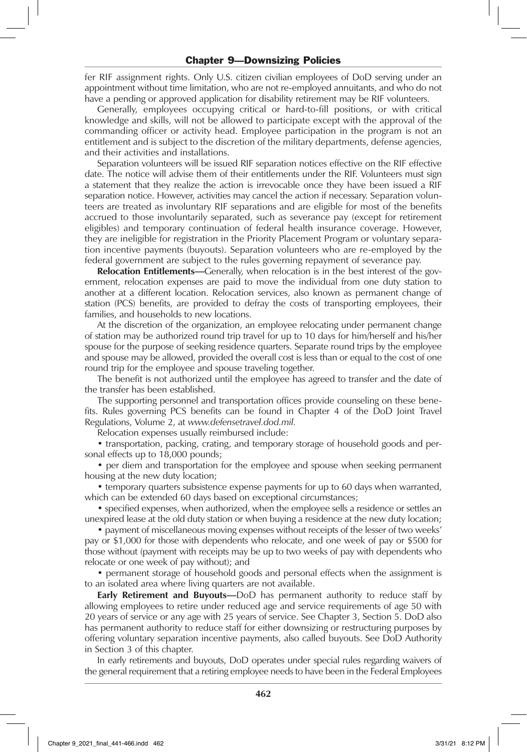fer RIF assignment rights. Only U.S. citizen civilian employees of DoD serving under an appointment without time limitation, who are not re-employed annuitants, and who do not have a pending or approved application for disability retirement may be RIF volunteers.

Generally, employees occupying critical or hard-to-fill positions, or with critical knowledge and skills, will not be allowed to participate except with the approval of the commanding officer or activity head. Employee participation in the program is not an entitlement and is subject to the discretion of the military departments, defense agencies, and their activities and installations.

Separation volunteers will be issued RIF separation notices effective on the RIF effective date. The notice will advise them of their entitlements under the RIF. Volunteers must sign a statement that they realize the action is irrevocable once they have been issued a RIF separation notice. However, activities may cancel the action if necessary. Separation volunteers are treated as involuntary RIF separations and are eligible for most of the benefits accrued to those involuntarily separated, such as severance pay (except for retirement eligibles) and temporary continuation of federal health insurance coverage. However, they are ineligible for registration in the Priority Placement Program or voluntary separation incentive payments (buyouts). Separation volunteers who are re-employed by the federal government are subject to the rules governing repayment of severance pay.

**Relocation Entitlements—**Generally, when relocation is in the best interest of the government, relocation expenses are paid to move the individual from one duty station to another at a different location. Relocation services, also known as permanent change of station (PCS) benefits, are provided to defray the costs of transporting employees, their families, and households to new locations.

At the discretion of the organization, an employee relocating under permanent change of station may be authorized round trip travel for up to 10 days for him/herself and his/her spouse for the purpose of seeking residence quarters. Separate round trips by the employee and spouse may be allowed, provided the overall cost is less than or equal to the cost of one round trip for the employee and spouse traveling together.

The benefit is not authorized until the employee has agreed to transfer and the date of the transfer has been established.

The supporting personnel and transportation offices provide counseling on these benefits. Rules governing PCS benefits can be found in Chapter 4 of the DoD Joint Travel Regulations, Volume 2, at *www.defensetravel.dod.mil.*

Relocation expenses usually reimbursed include:

• transportation, packing, crating, and temporary storage of household goods and personal effects up to 18,000 pounds;

• per diem and transportation for the employee and spouse when seeking permanent housing at the new duty location;

• temporary quarters subsistence expense payments for up to 60 days when warranted, which can be extended 60 days based on exceptional circumstances;

• specified expenses, when authorized, when the employee sells a residence or settles an unexpired lease at the old duty station or when buying a residence at the new duty location;

• payment of miscellaneous moving expenses without receipts of the lesser of two weeks' pay or \$1,000 for those with dependents who relocate, and one week of pay or \$500 for those without (payment with receipts may be up to two weeks of pay with dependents who relocate or one week of pay without); and

• permanent storage of household goods and personal effects when the assignment is to an isolated area where living quarters are not available.

**Early Retirement and Buyouts—**DoD has permanent authority to reduce staff by allowing employees to retire under reduced age and service requirements of age 50 with 20 years of service or any age with 25 years of service. See Chapter 3, Section 5. DoD also has permanent authority to reduce staff for either downsizing or restructuring purposes by offering voluntary separation incentive payments, also called buyouts. See DoD Authority in Section 3 of this chapter.

In early retirements and buyouts, DoD operates under special rules regarding waivers of the general requirement that a retiring employee needs to have been in the Federal Employees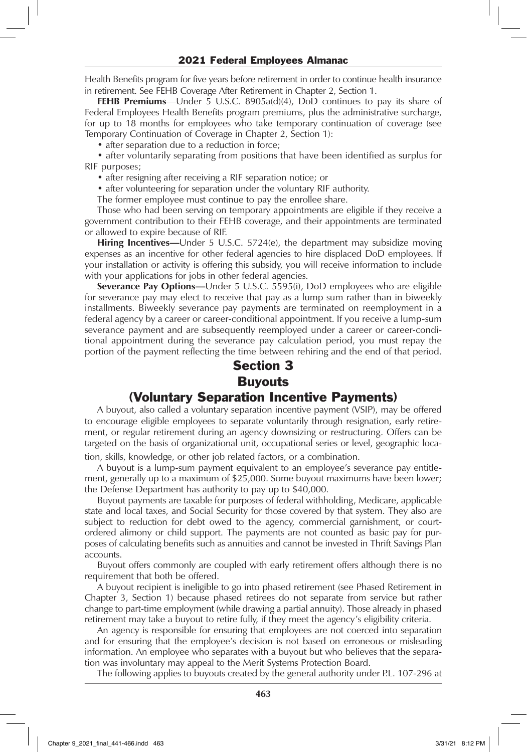Health Benefits program for five years before retirement in order to continue health insurance in retirement. See FEHB Coverage After Retirement in Chapter 2, Section 1.

**FEHB Premiums**—Under 5 U.S.C. 8905a(d)(4), DoD continues to pay its share of Federal Employees Health Benefits program premiums, plus the administrative surcharge, for up to 18 months for employees who take temporary continuation of coverage (see Temporary Continuation of Coverage in Chapter 2, Section 1):

• after separation due to a reduction in force;

• after voluntarily separating from positions that have been identified as surplus for RIF purposes;

• after resigning after receiving a RIF separation notice; or

• after volunteering for separation under the voluntary RIF authority.

The former employee must continue to pay the enrollee share.

Those who had been serving on temporary appointments are eligible if they receive a government contribution to their FEHB coverage, and their appointments are terminated or allowed to expire because of RIF.

**Hiring Incentives—**Under 5 U.S.C. 5724(e), the department may subsidize moving expenses as an incentive for other federal agencies to hire displaced DoD employees. If your installation or activity is offering this subsidy, you will receive information to include with your applications for jobs in other federal agencies.

**Severance Pay Options—**Under 5 U.S.C. 5595(i), DoD employees who are eligible for severance pay may elect to receive that pay as a lump sum rather than in biweekly installments. Biweekly severance pay payments are terminated on reemployment in a federal agency by a career or career-conditional appointment. If you receive a lump-sum severance payment and are subsequently reemployed under a career or career-conditional appointment during the severance pay calculation period, you must repay the portion of the payment reflecting the time between rehiring and the end of that period.

# Section 3 **Buyouts**

# (Voluntary Separation Incentive Payments)

A buyout, also called a voluntary separation incentive payment (VSIP), may be offered to encourage eligible employees to separate voluntarily through resignation, early retirement, or regular retirement during an agency downsizing or restructuring. Offers can be targeted on the basis of organizational unit, occupational series or level, geographic loca-

tion, skills, knowledge, or other job related factors, or a combination.

A buyout is a lump-sum payment equivalent to an employee's severance pay entitlement, generally up to a maximum of \$25,000. Some buyout maximums have been lower; the Defense Department has authority to pay up to \$40,000.

Buyout payments are taxable for purposes of federal withholding, Medicare, applicable state and local taxes, and Social Security for those covered by that system. They also are subject to reduction for debt owed to the agency, commercial garnishment, or courtordered alimony or child support. The payments are not counted as basic pay for purposes of calculating benefits such as annuities and cannot be invested in Thrift Savings Plan accounts.

Buyout offers commonly are coupled with early retirement offers although there is no requirement that both be offered.

A buyout recipient is ineligible to go into phased retirement (see Phased Retirement in Chapter 3, Section 1) because phased retirees do not separate from service but rather change to part-time employment (while drawing a partial annuity). Those already in phased retirement may take a buyout to retire fully, if they meet the agency's eligibility criteria.

An agency is responsible for ensuring that employees are not coerced into separation and for ensuring that the employee's decision is not based on erroneous or misleading information. An employee who separates with a buyout but who believes that the separation was involuntary may appeal to the Merit Systems Protection Board.

The following applies to buyouts created by the general authority under P.L. 107-296 at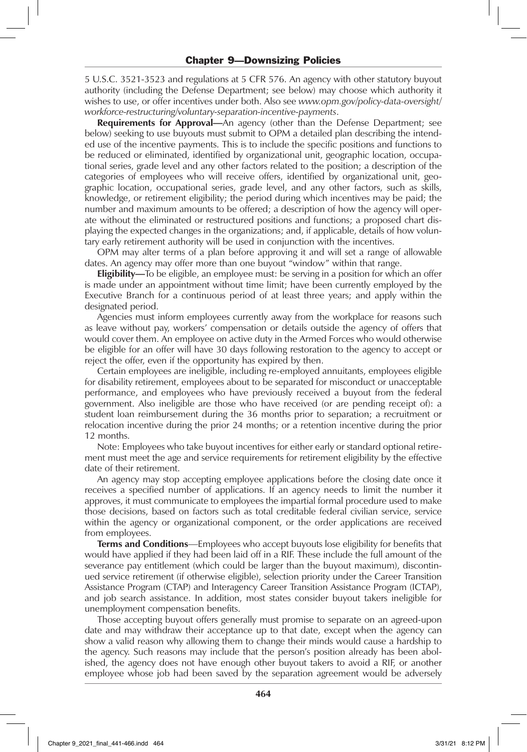5 U.S.C. 3521-3523 and regulations at 5 CFR 576. An agency with other statutory buyout authority (including the Defense Department; see below) may choose which authority it wishes to use, or offer incentives under both. Also see *www.opm.gov/policy-data-oversight/ workforce-restructuring/voluntary-separation-incentive-payments*.

**Requirements for Approval—**An agency (other than the Defense Department; see below) seeking to use buyouts must submit to OPM a detailed plan describing the intended use of the incentive payments. This is to include the specific positions and functions to be reduced or eliminated, identified by organizational unit, geographic location, occupational series, grade level and any other factors related to the position; a description of the categories of employees who will receive offers, identified by organizational unit, geographic location, occupational series, grade level, and any other factors, such as skills, knowledge, or retirement eligibility; the period during which incentives may be paid; the number and maximum amounts to be offered; a description of how the agency will operate without the eliminated or restructured positions and functions; a proposed chart displaying the expected changes in the organizations; and, if applicable, details of how voluntary early retirement authority will be used in conjunction with the incentives.

OPM may alter terms of a plan before approving it and will set a range of allowable dates. An agency may offer more than one buyout "window" within that range.

**Eligibility—**To be eligible, an employee must: be serving in a position for which an offer is made under an appointment without time limit; have been currently employed by the Executive Branch for a continuous period of at least three years; and apply within the designated period.

Agencies must inform employees currently away from the workplace for reasons such as leave without pay, workers' compensation or details outside the agency of offers that would cover them. An employee on active duty in the Armed Forces who would otherwise be eligible for an offer will have 30 days following restoration to the agency to accept or reject the offer, even if the opportunity has expired by then.

Certain employees are ineligible, including re-employed annuitants, employees eligible for disability retirement, employees about to be separated for misconduct or unacceptable performance, and employees who have previously received a buyout from the federal government. Also ineligible are those who have received (or are pending receipt of): a student loan reimbursement during the 36 months prior to separation; a recruitment or relocation incentive during the prior 24 months; or a retention incentive during the prior 12 months.

Note: Employees who take buyout incentives for either early or standard optional retirement must meet the age and service requirements for retirement eligibility by the effective date of their retirement.

An agency may stop accepting employee applications before the closing date once it receives a specified number of applications. If an agency needs to limit the number it approves, it must communicate to employees the impartial formal procedure used to make those decisions, based on factors such as total creditable federal civilian service, service within the agency or organizational component, or the order applications are received from employees.

**Terms and Conditions**—Employees who accept buyouts lose eligibility for benefits that would have applied if they had been laid off in a RIF. These include the full amount of the severance pay entitlement (which could be larger than the buyout maximum), discontinued service retirement (if otherwise eligible), selection priority under the Career Transition Assistance Program (CTAP) and Interagency Career Transition Assistance Program (ICTAP), and job search assistance. In addition, most states consider buyout takers ineligible for unemployment compensation benefits.

Those accepting buyout offers generally must promise to separate on an agreed-upon date and may withdraw their acceptance up to that date, except when the agency can show a valid reason why allowing them to change their minds would cause a hardship to the agency. Such reasons may include that the person's position already has been abolished, the agency does not have enough other buyout takers to avoid a RIF, or another employee whose job had been saved by the separation agreement would be adversely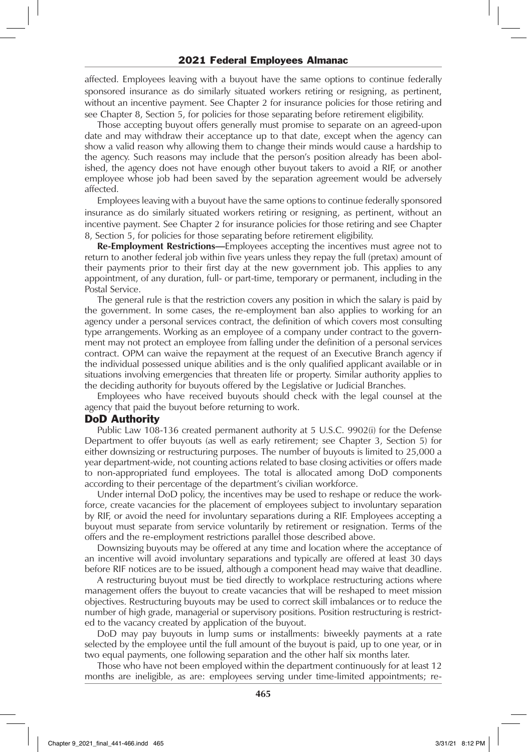affected. Employees leaving with a buyout have the same options to continue federally sponsored insurance as do similarly situated workers retiring or resigning, as pertinent, without an incentive payment. See Chapter 2 for insurance policies for those retiring and see Chapter 8, Section 5, for policies for those separating before retirement eligibility.

Those accepting buyout offers generally must promise to separate on an agreed-upon date and may withdraw their acceptance up to that date, except when the agency can show a valid reason why allowing them to change their minds would cause a hardship to the agency. Such reasons may include that the person's position already has been abolished, the agency does not have enough other buyout takers to avoid a RIF, or another employee whose job had been saved by the separation agreement would be adversely affected.

Employees leaving with a buyout have the same options to continue federally sponsored insurance as do similarly situated workers retiring or resigning, as pertinent, without an incentive payment. See Chapter 2 for insurance policies for those retiring and see Chapter 8, Section 5, for policies for those separating before retirement eligibility.

**Re-Employment Restrictions—**Employees accepting the incentives must agree not to return to another federal job within five years unless they repay the full (pretax) amount of their payments prior to their first day at the new government job. This applies to any appointment, of any duration, full- or part-time, temporary or permanent, including in the Postal Service.

The general rule is that the restriction covers any position in which the salary is paid by the government. In some cases, the re-employment ban also applies to working for an agency under a personal services contract, the definition of which covers most consulting type arrangements. Working as an employee of a company under contract to the government may not protect an employee from falling under the definition of a personal services contract. OPM can waive the repayment at the request of an Executive Branch agency if the individual possessed unique abilities and is the only qualified applicant available or in situations involving emergencies that threaten life or property. Similar authority applies to the deciding authority for buyouts offered by the Legislative or Judicial Branches.

Employees who have received buyouts should check with the legal counsel at the agency that paid the buyout before returning to work.

# DoD Authority

Public Law 108-136 created permanent authority at 5 U.S.C. 9902(i) for the Defense Department to offer buyouts (as well as early retirement; see Chapter 3, Section 5) for either downsizing or restructuring purposes. The number of buyouts is limited to 25,000 a year department-wide, not counting actions related to base closing activities or offers made to non-appropriated fund employees. The total is allocated among DoD components according to their percentage of the department's civilian workforce.

Under internal DoD policy, the incentives may be used to reshape or reduce the workforce, create vacancies for the placement of employees subject to involuntary separation by RIF, or avoid the need for involuntary separations during a RIF. Employees accepting a buyout must separate from service voluntarily by retirement or resignation. Terms of the offers and the re-employment restrictions parallel those described above.

Downsizing buyouts may be offered at any time and location where the acceptance of an incentive will avoid involuntary separations and typically are offered at least 30 days before RIF notices are to be issued, although a component head may waive that deadline.

A restructuring buyout must be tied directly to workplace restructuring actions where management offers the buyout to create vacancies that will be reshaped to meet mission objectives. Restructuring buyouts may be used to correct skill imbalances or to reduce the number of high grade, managerial or supervisory positions. Position restructuring is restricted to the vacancy created by application of the buyout.

DoD may pay buyouts in lump sums or installments: biweekly payments at a rate selected by the employee until the full amount of the buyout is paid, up to one year, or in two equal payments, one following separation and the other half six months later.

Those who have not been employed within the department continuously for at least 12 months are ineligible, as are: employees serving under time-limited appointments; re